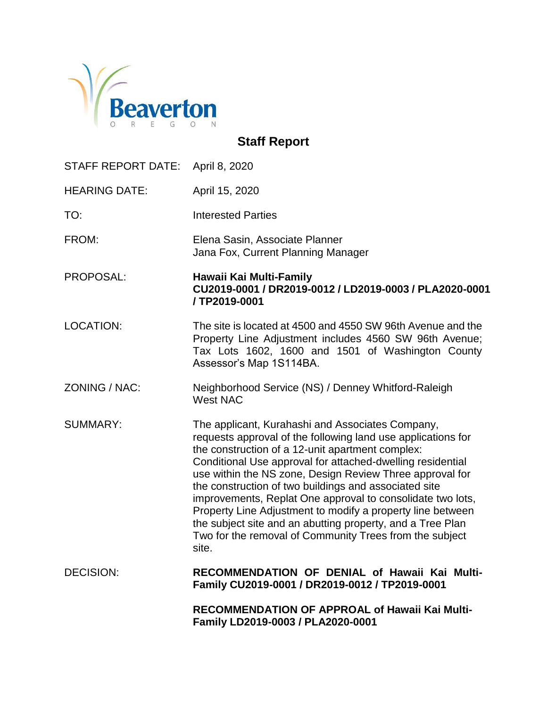

# **Staff Report**

| STAFF REPORT DATE:   | April 8, 2020                                                                                                                                                                                                                                                                                                                                                                                                                                                                                                                                                                                                         |
|----------------------|-----------------------------------------------------------------------------------------------------------------------------------------------------------------------------------------------------------------------------------------------------------------------------------------------------------------------------------------------------------------------------------------------------------------------------------------------------------------------------------------------------------------------------------------------------------------------------------------------------------------------|
| <b>HEARING DATE:</b> | April 15, 2020                                                                                                                                                                                                                                                                                                                                                                                                                                                                                                                                                                                                        |
| TO:                  | <b>Interested Parties</b>                                                                                                                                                                                                                                                                                                                                                                                                                                                                                                                                                                                             |
| FROM:                | Elena Sasin, Associate Planner<br>Jana Fox, Current Planning Manager                                                                                                                                                                                                                                                                                                                                                                                                                                                                                                                                                  |
| PROPOSAL:            | Hawaii Kai Multi-Family<br>CU2019-0001 / DR2019-0012 / LD2019-0003 / PLA2020-0001<br>/TP2019-0001                                                                                                                                                                                                                                                                                                                                                                                                                                                                                                                     |
| <b>LOCATION:</b>     | The site is located at 4500 and 4550 SW 96th Avenue and the<br>Property Line Adjustment includes 4560 SW 96th Avenue;<br>Tax Lots 1602, 1600 and 1501 of Washington County<br>Assessor's Map 1S114BA.                                                                                                                                                                                                                                                                                                                                                                                                                 |
| ZONING / NAC:        | Neighborhood Service (NS) / Denney Whitford-Raleigh<br><b>West NAC</b>                                                                                                                                                                                                                                                                                                                                                                                                                                                                                                                                                |
| <b>SUMMARY:</b>      | The applicant, Kurahashi and Associates Company,<br>requests approval of the following land use applications for<br>the construction of a 12-unit apartment complex:<br>Conditional Use approval for attached-dwelling residential<br>use within the NS zone, Design Review Three approval for<br>the construction of two buildings and associated site<br>improvements, Replat One approval to consolidate two lots,<br>Property Line Adjustment to modify a property line between<br>the subject site and an abutting property, and a Tree Plan<br>Two for the removal of Community Trees from the subject<br>site. |
| <b>DECISION:</b>     | RECOMMENDATION OF DENIAL of Hawaii Kai Multi-<br>Family CU2019-0001 / DR2019-0012 / TP2019-0001                                                                                                                                                                                                                                                                                                                                                                                                                                                                                                                       |
|                      | <b>RECOMMENDATION OF APPROAL of Hawaii Kai Multi-</b><br>Family LD2019-0003 / PLA2020-0001                                                                                                                                                                                                                                                                                                                                                                                                                                                                                                                            |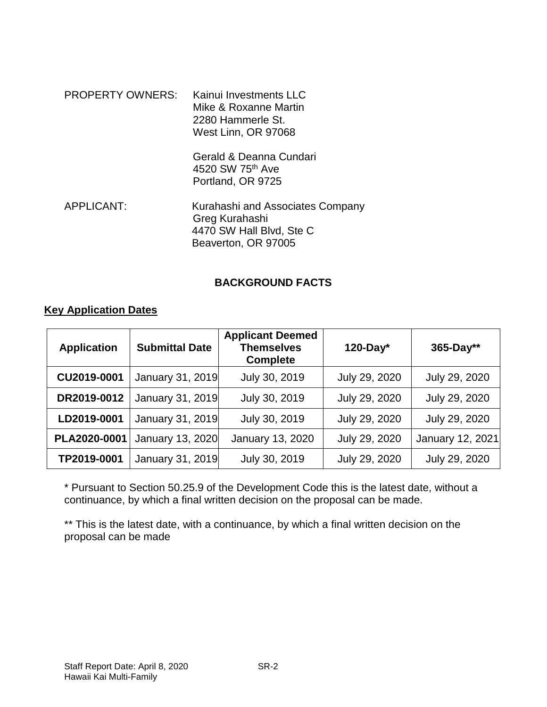| <b>PROPERTY OWNERS:</b> | Kainui Investments LLC<br>Mike & Roxanne Martin<br>2280 Hammerle St.<br>West Linn, OR 97068           |
|-------------------------|-------------------------------------------------------------------------------------------------------|
|                         | Gerald & Deanna Cundari<br>4520 SW 75 <sup>th</sup> Ave<br>Portland, OR 9725                          |
| <b>APPLICANT:</b>       | Kurahashi and Associates Company<br>Greg Kurahashi<br>4470 SW Hall Blvd, Ste C<br>Beaverton, OR 97005 |

#### **BACKGROUND FACTS**

#### **Key Application Dates**

| <b>Application</b> | <b>Submittal Date</b> | <b>Applicant Deemed</b><br><b>Themselves</b><br><b>Complete</b> | $120$ -Day*   | 365-Day**        |
|--------------------|-----------------------|-----------------------------------------------------------------|---------------|------------------|
| CU2019-0001        | January 31, 2019      | July 30, 2019                                                   | July 29, 2020 | July 29, 2020    |
| DR2019-0012        | January 31, 2019      | July 30, 2019                                                   | July 29, 2020 | July 29, 2020    |
| LD2019-0001        | January 31, 2019      | July 30, 2019                                                   | July 29, 2020 | July 29, 2020    |
| PLA2020-0001       | January 13, 2020      | January 13, 2020                                                | July 29, 2020 | January 12, 2021 |
| TP2019-0001        | January 31, 2019      | July 30, 2019                                                   | July 29, 2020 | July 29, 2020    |

\* Pursuant to Section 50.25.9 of the Development Code this is the latest date, without a continuance, by which a final written decision on the proposal can be made.

\*\* This is the latest date, with a continuance, by which a final written decision on the proposal can be made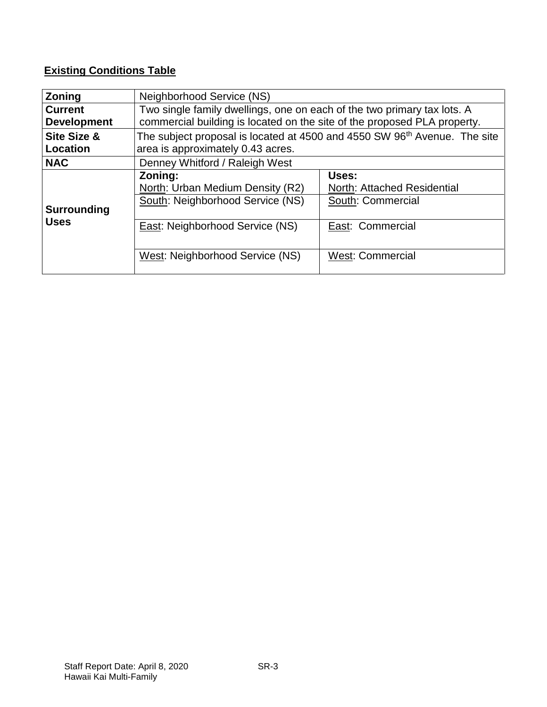## **Existing Conditions Table**

| Zoning                                    | Neighborhood Service (NS)                                                                                                                           |                                                           |  |
|-------------------------------------------|-----------------------------------------------------------------------------------------------------------------------------------------------------|-----------------------------------------------------------|--|
| <b>Current</b><br><b>Development</b>      | Two single family dwellings, one on each of the two primary tax lots. A<br>commercial building is located on the site of the proposed PLA property. |                                                           |  |
| <b>Site Size &amp;</b><br><b>Location</b> | The subject proposal is located at 4500 and 4550 SW 96 <sup>th</sup> Avenue. The site<br>area is approximately 0.43 acres.                          |                                                           |  |
| <b>NAC</b>                                | Denney Whitford / Raleigh West                                                                                                                      |                                                           |  |
| <b>Surrounding</b>                        | Zoning:<br>North: Urban Medium Density (R2)<br>South: Neighborhood Service (NS)                                                                     | Uses:<br>North: Attached Residential<br>South: Commercial |  |
| <b>Uses</b>                               | <b>East: Neighborhood Service (NS)</b>                                                                                                              | East: Commercial                                          |  |
|                                           | West: Neighborhood Service (NS)                                                                                                                     | <b>West: Commercial</b>                                   |  |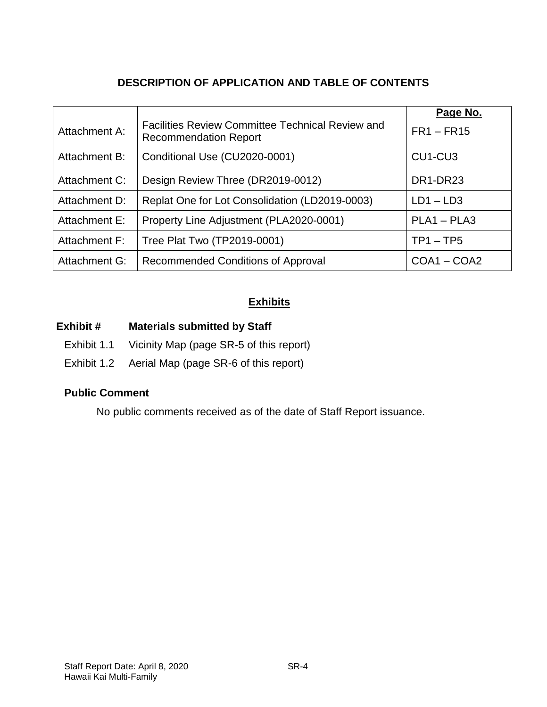## **DESCRIPTION OF APPLICATION AND TABLE OF CONTENTS**

|               |                                                                                         | Page No.                         |
|---------------|-----------------------------------------------------------------------------------------|----------------------------------|
| Attachment A: | <b>Facilities Review Committee Technical Review and</b><br><b>Recommendation Report</b> | $FR1 - FR15$                     |
| Attachment B: | Conditional Use (CU2020-0001)                                                           | CU <sub>1</sub> -CU <sub>3</sub> |
| Attachment C: | Design Review Three (DR2019-0012)                                                       | DR1-DR23                         |
| Attachment D: | Replat One for Lot Consolidation (LD2019-0003)                                          | $LD1 - LD3$                      |
| Attachment E: | Property Line Adjustment (PLA2020-0001)                                                 | $PLA1 - PLA3$                    |
| Attachment F: | Tree Plat Two (TP2019-0001)                                                             | $TP1 - TP5$                      |
| Attachment G: | Recommended Conditions of Approval                                                      | $COA1 - COA2$                    |

## **Exhibits**

## **Exhibit # Materials submitted by Staff**

- Exhibit 1.1 Vicinity Map (page SR-5 of this report)
- Exhibit 1.2 Aerial Map (page SR-6 of this report)

#### **Public Comment**

No public comments received as of the date of Staff Report issuance.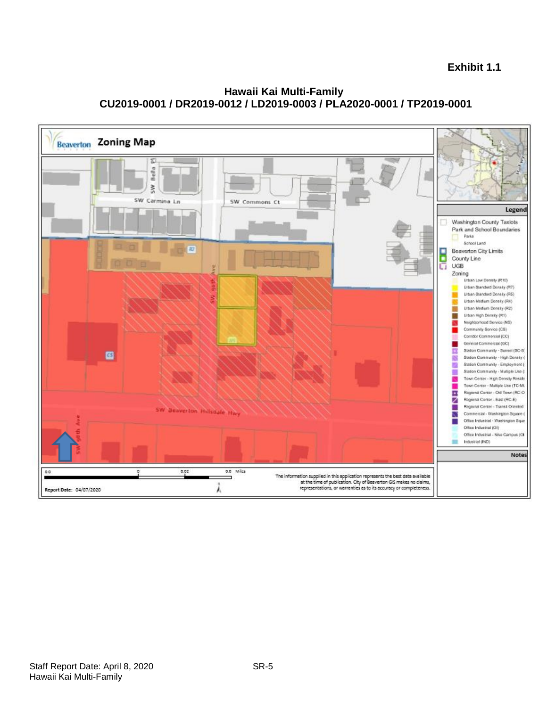

**Hawaii Kai Multi-Family CU2019-0001 / DR2019-0012 / LD2019-0003 / PLA2020-0001 / TP2019-0001**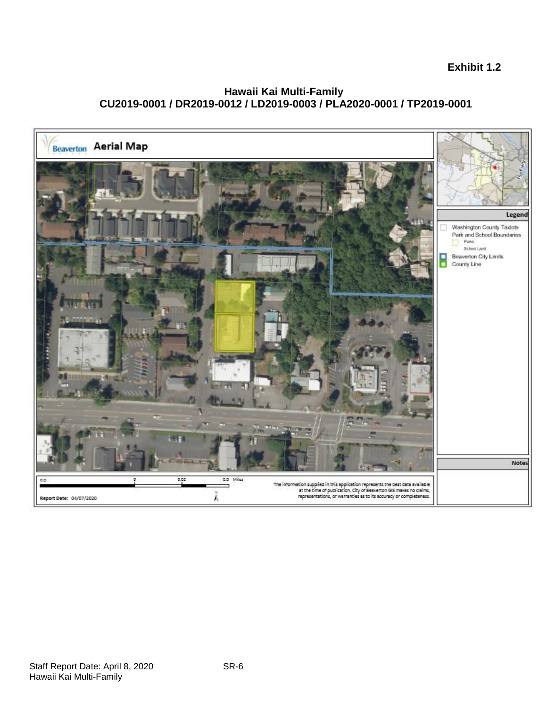#### **Hawaii Kai Multi-Family CU2019-0001 / DR2019-0012 / LD2019-0003 / PLA2020-0001 / TP2019-0001**

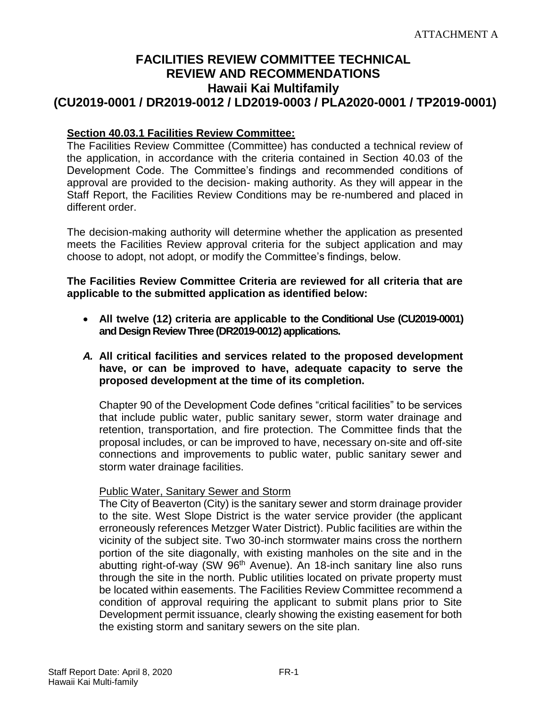## **FACILITIES REVIEW COMMITTEE TECHNICAL REVIEW AND RECOMMENDATIONS Hawaii Kai Multifamily (CU2019-0001 / DR2019-0012 / LD2019-0003 / PLA2020-0001 / TP2019-0001)**

#### **Section 40.03.1 Facilities Review Committee:**

The Facilities Review Committee (Committee) has conducted a technical review of the application, in accordance with the criteria contained in Section 40.03 of the Development Code. The Committee's findings and recommended conditions of approval are provided to the decision- making authority. As they will appear in the Staff Report, the Facilities Review Conditions may be re-numbered and placed in different order.

The decision-making authority will determine whether the application as presented meets the Facilities Review approval criteria for the subject application and may choose to adopt, not adopt, or modify the Committee's findings, below.

#### **The Facilities Review Committee Criteria are reviewed for all criteria that are applicable to the submitted application as identified below:**

- **All twelve (12) criteria are applicable to the Conditional Use (CU2019-0001) and Design Review Three (DR2019-0012) applications.**
- *A.* **All critical facilities and services related to the proposed development have, or can be improved to have, adequate capacity to serve the proposed development at the time of its completion.**

Chapter 90 of the Development Code defines "critical facilities" to be services that include public water, public sanitary sewer, storm water drainage and retention, transportation, and fire protection. The Committee finds that the proposal includes, or can be improved to have, necessary on-site and off-site connections and improvements to public water, public sanitary sewer and storm water drainage facilities.

#### Public Water, Sanitary Sewer and Storm

The City of Beaverton (City) is the sanitary sewer and storm drainage provider to the site. West Slope District is the water service provider (the applicant erroneously references Metzger Water District). Public facilities are within the vicinity of the subject site. Two 30-inch stormwater mains cross the northern portion of the site diagonally, with existing manholes on the site and in the abutting right-of-way (SW 96<sup>th</sup> Avenue). An 18-inch sanitary line also runs through the site in the north. Public utilities located on private property must be located within easements. The Facilities Review Committee recommend a condition of approval requiring the applicant to submit plans prior to Site Development permit issuance, clearly showing the existing easement for both the existing storm and sanitary sewers on the site plan.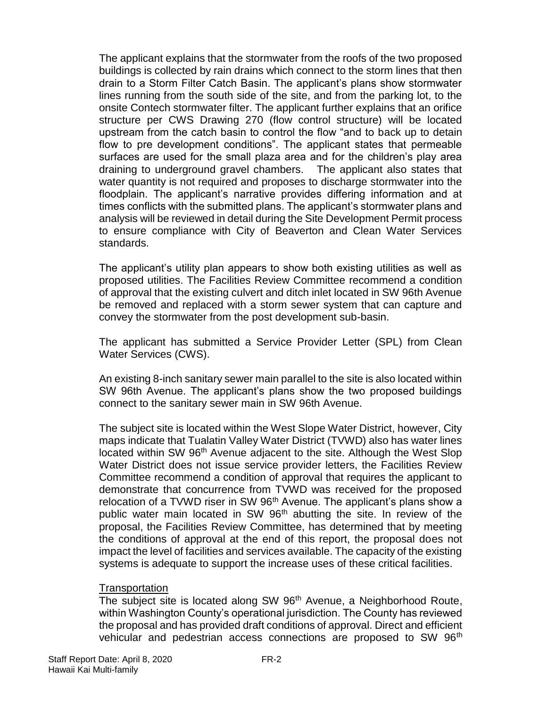The applicant explains that the stormwater from the roofs of the two proposed buildings is collected by rain drains which connect to the storm lines that then drain to a Storm Filter Catch Basin. The applicant's plans show stormwater lines running from the south side of the site, and from the parking lot, to the onsite Contech stormwater filter. The applicant further explains that an orifice structure per CWS Drawing 270 (flow control structure) will be located upstream from the catch basin to control the flow "and to back up to detain flow to pre development conditions". The applicant states that permeable surfaces are used for the small plaza area and for the children's play area draining to underground gravel chambers. The applicant also states that water quantity is not required and proposes to discharge stormwater into the floodplain. The applicant's narrative provides differing information and at times conflicts with the submitted plans. The applicant's stormwater plans and analysis will be reviewed in detail during the Site Development Permit process to ensure compliance with City of Beaverton and Clean Water Services standards.

The applicant's utility plan appears to show both existing utilities as well as proposed utilities. The Facilities Review Committee recommend a condition of approval that the existing culvert and ditch inlet located in SW 96th Avenue be removed and replaced with a storm sewer system that can capture and convey the stormwater from the post development sub-basin.

The applicant has submitted a Service Provider Letter (SPL) from Clean Water Services (CWS).

An existing 8-inch sanitary sewer main parallel to the site is also located within SW 96th Avenue. The applicant's plans show the two proposed buildings connect to the sanitary sewer main in SW 96th Avenue.

The subject site is located within the West Slope Water District, however, City maps indicate that Tualatin Valley Water District (TVWD) also has water lines located within SW 96<sup>th</sup> Avenue adjacent to the site. Although the West Slop Water District does not issue service provider letters, the Facilities Review Committee recommend a condition of approval that requires the applicant to demonstrate that concurrence from TVWD was received for the proposed relocation of a TVWD riser in SW 96<sup>th</sup> Avenue. The applicant's plans show a public water main located in SW 96<sup>th</sup> abutting the site. In review of the proposal, the Facilities Review Committee, has determined that by meeting the conditions of approval at the end of this report, the proposal does not impact the level of facilities and services available. The capacity of the existing systems is adequate to support the increase uses of these critical facilities.

#### **Transportation**

The subject site is located along SW 96<sup>th</sup> Avenue, a Neighborhood Route, within Washington County's operational jurisdiction. The County has reviewed the proposal and has provided draft conditions of approval. Direct and efficient vehicular and pedestrian access connections are proposed to SW 96<sup>th</sup>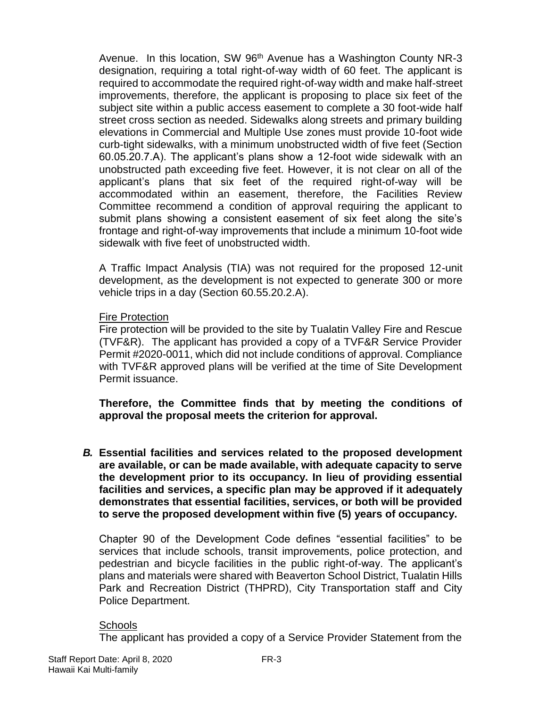Avenue. In this location, SW 96<sup>th</sup> Avenue has a Washington County NR-3 designation, requiring a total right-of-way width of 60 feet. The applicant is required to accommodate the required right-of-way width and make half-street improvements, therefore, the applicant is proposing to place six feet of the subject site within a public access easement to complete a 30 foot-wide half street cross section as needed. Sidewalks along streets and primary building elevations in Commercial and Multiple Use zones must provide 10-foot wide curb-tight sidewalks, with a minimum unobstructed width of five feet (Section 60.05.20.7.A). The applicant's plans show a 12-foot wide sidewalk with an unobstructed path exceeding five feet. However, it is not clear on all of the applicant's plans that six feet of the required right-of-way will be accommodated within an easement, therefore, the Facilities Review Committee recommend a condition of approval requiring the applicant to submit plans showing a consistent easement of six feet along the site's frontage and right-of-way improvements that include a minimum 10-foot wide sidewalk with five feet of unobstructed width.

A Traffic Impact Analysis (TIA) was not required for the proposed 12-unit development, as the development is not expected to generate 300 or more vehicle trips in a day (Section 60.55.20.2.A).

#### Fire Protection

Fire protection will be provided to the site by Tualatin Valley Fire and Rescue (TVF&R). The applicant has provided a copy of a TVF&R Service Provider Permit #2020-0011, which did not include conditions of approval. Compliance with TVF&R approved plans will be verified at the time of Site Development Permit issuance.

**Therefore, the Committee finds that by meeting the conditions of approval the proposal meets the criterion for approval.**

*B.* **Essential facilities and services related to the proposed development are available, or can be made available, with adequate capacity to serve the development prior to its occupancy. In lieu of providing essential facilities and services, a specific plan may be approved if it adequately demonstrates that essential facilities, services, or both will be provided to serve the proposed development within five (5) years of occupancy.**

Chapter 90 of the Development Code defines "essential facilities" to be services that include schools, transit improvements, police protection, and pedestrian and bicycle facilities in the public right-of-way. The applicant's plans and materials were shared with Beaverton School District, Tualatin Hills Park and Recreation District (THPRD), City Transportation staff and City Police Department.

#### **Schools**

The applicant has provided a copy of a Service Provider Statement from the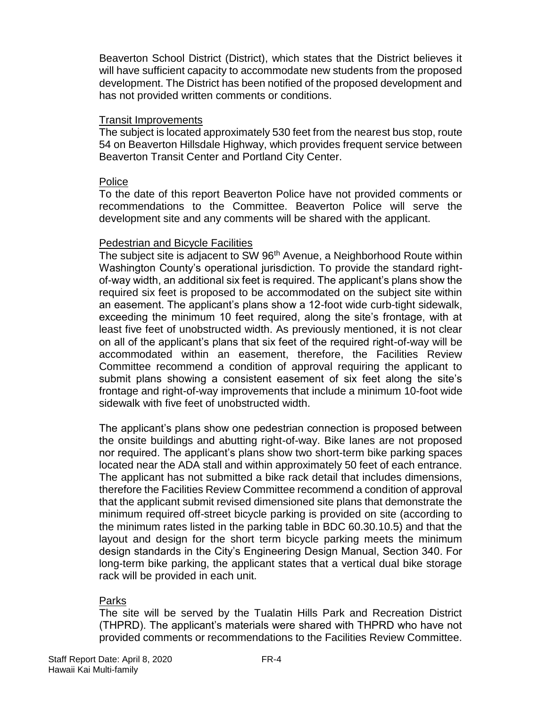Beaverton School District (District), which states that the District believes it will have sufficient capacity to accommodate new students from the proposed development. The District has been notified of the proposed development and has not provided written comments or conditions.

#### Transit Improvements

The subject is located approximately 530 feet from the nearest bus stop, route 54 on Beaverton Hillsdale Highway, which provides frequent service between Beaverton Transit Center and Portland City Center.

#### Police

To the date of this report Beaverton Police have not provided comments or recommendations to the Committee. Beaverton Police will serve the development site and any comments will be shared with the applicant.

#### Pedestrian and Bicycle Facilities

The subject site is adjacent to SW 96<sup>th</sup> Avenue, a Neighborhood Route within Washington County's operational jurisdiction. To provide the standard rightof-way width, an additional six feet is required. The applicant's plans show the required six feet is proposed to be accommodated on the subject site within an easement. The applicant's plans show a 12-foot wide curb-tight sidewalk, exceeding the minimum 10 feet required, along the site's frontage, with at least five feet of unobstructed width. As previously mentioned, it is not clear on all of the applicant's plans that six feet of the required right-of-way will be accommodated within an easement, therefore, the Facilities Review Committee recommend a condition of approval requiring the applicant to submit plans showing a consistent easement of six feet along the site's frontage and right-of-way improvements that include a minimum 10-foot wide sidewalk with five feet of unobstructed width.

The applicant's plans show one pedestrian connection is proposed between the onsite buildings and abutting right-of-way. Bike lanes are not proposed nor required. The applicant's plans show two short-term bike parking spaces located near the ADA stall and within approximately 50 feet of each entrance. The applicant has not submitted a bike rack detail that includes dimensions, therefore the Facilities Review Committee recommend a condition of approval that the applicant submit revised dimensioned site plans that demonstrate the minimum required off-street bicycle parking is provided on site (according to the minimum rates listed in the parking table in BDC 60.30.10.5) and that the layout and design for the short term bicycle parking meets the minimum design standards in the City's Engineering Design Manual, Section 340. For long-term bike parking, the applicant states that a vertical dual bike storage rack will be provided in each unit.

#### Parks

The site will be served by the Tualatin Hills Park and Recreation District (THPRD). The applicant's materials were shared with THPRD who have not provided comments or recommendations to the Facilities Review Committee.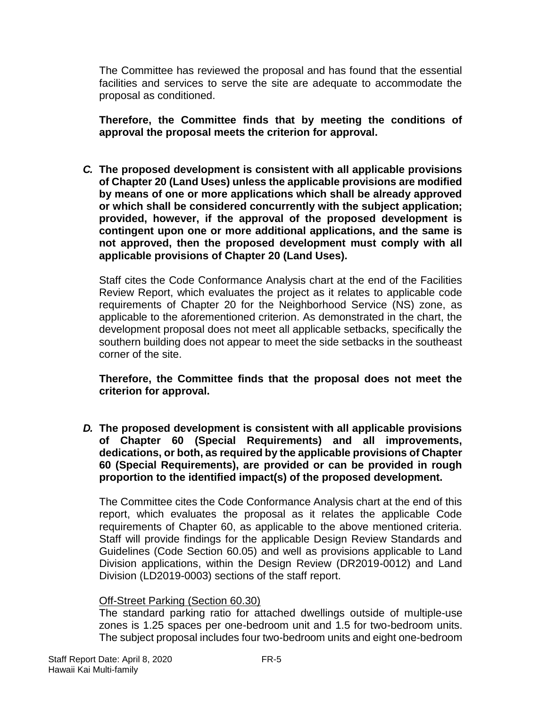The Committee has reviewed the proposal and has found that the essential facilities and services to serve the site are adequate to accommodate the proposal as conditioned.

**Therefore, the Committee finds that by meeting the conditions of approval the proposal meets the criterion for approval.**

*C.* **The proposed development is consistent with all applicable provisions of Chapter 20 (Land Uses) unless the applicable provisions are modified by means of one or more applications which shall be already approved or which shall be considered concurrently with the subject application; provided, however, if the approval of the proposed development is contingent upon one or more additional applications, and the same is not approved, then the proposed development must comply with all applicable provisions of Chapter 20 (Land Uses).**

Staff cites the Code Conformance Analysis chart at the end of the Facilities Review Report, which evaluates the project as it relates to applicable code requirements of Chapter 20 for the Neighborhood Service (NS) zone, as applicable to the aforementioned criterion. As demonstrated in the chart, the development proposal does not meet all applicable setbacks, specifically the southern building does not appear to meet the side setbacks in the southeast corner of the site.

**Therefore, the Committee finds that the proposal does not meet the criterion for approval.**

*D.* **The proposed development is consistent with all applicable provisions of Chapter 60 (Special Requirements) and all improvements, dedications, or both, as required by the applicable provisions of Chapter 60 (Special Requirements), are provided or can be provided in rough proportion to the identified impact(s) of the proposed development.** 

The Committee cites the Code Conformance Analysis chart at the end of this report, which evaluates the proposal as it relates the applicable Code requirements of Chapter 60, as applicable to the above mentioned criteria. Staff will provide findings for the applicable Design Review Standards and Guidelines (Code Section 60.05) and well as provisions applicable to Land Division applications, within the Design Review (DR2019-0012) and Land Division (LD2019-0003) sections of the staff report.

#### Off-Street Parking (Section 60.30)

The standard parking ratio for attached dwellings outside of multiple-use zones is 1.25 spaces per one-bedroom unit and 1.5 for two-bedroom units. The subject proposal includes four two-bedroom units and eight one-bedroom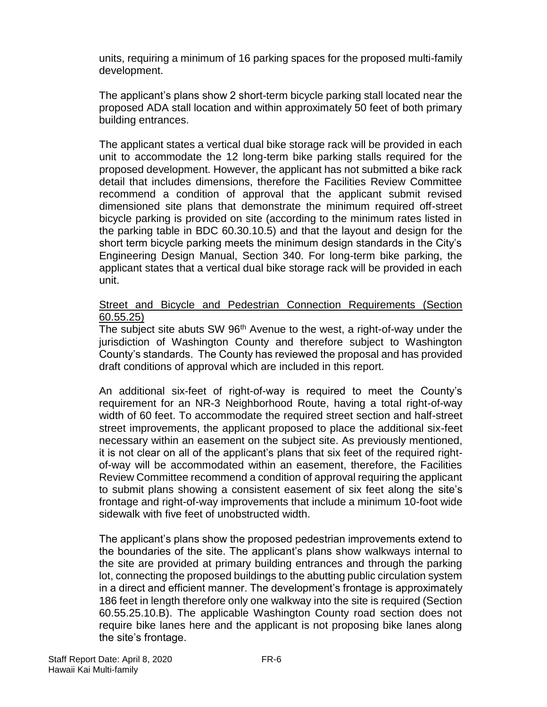units, requiring a minimum of 16 parking spaces for the proposed multi-family development.

The applicant's plans show 2 short-term bicycle parking stall located near the proposed ADA stall location and within approximately 50 feet of both primary building entrances.

The applicant states a vertical dual bike storage rack will be provided in each unit to accommodate the 12 long-term bike parking stalls required for the proposed development. However, the applicant has not submitted a bike rack detail that includes dimensions, therefore the Facilities Review Committee recommend a condition of approval that the applicant submit revised dimensioned site plans that demonstrate the minimum required off-street bicycle parking is provided on site (according to the minimum rates listed in the parking table in BDC 60.30.10.5) and that the layout and design for the short term bicycle parking meets the minimum design standards in the City's Engineering Design Manual, Section 340. For long-term bike parking, the applicant states that a vertical dual bike storage rack will be provided in each unit.

#### Street and Bicycle and Pedestrian Connection Requirements (Section 60.55.25)

The subject site abuts SW 96<sup>th</sup> Avenue to the west, a right-of-way under the jurisdiction of Washington County and therefore subject to Washington County's standards. The County has reviewed the proposal and has provided draft conditions of approval which are included in this report.

An additional six-feet of right-of-way is required to meet the County's requirement for an NR-3 Neighborhood Route, having a total right-of-way width of 60 feet. To accommodate the required street section and half-street street improvements, the applicant proposed to place the additional six-feet necessary within an easement on the subject site. As previously mentioned, it is not clear on all of the applicant's plans that six feet of the required rightof-way will be accommodated within an easement, therefore, the Facilities Review Committee recommend a condition of approval requiring the applicant to submit plans showing a consistent easement of six feet along the site's frontage and right-of-way improvements that include a minimum 10-foot wide sidewalk with five feet of unobstructed width.

The applicant's plans show the proposed pedestrian improvements extend to the boundaries of the site. The applicant's plans show walkways internal to the site are provided at primary building entrances and through the parking lot, connecting the proposed buildings to the abutting public circulation system in a direct and efficient manner. The development's frontage is approximately 186 feet in length therefore only one walkway into the site is required (Section 60.55.25.10.B). The applicable Washington County road section does not require bike lanes here and the applicant is not proposing bike lanes along the site's frontage.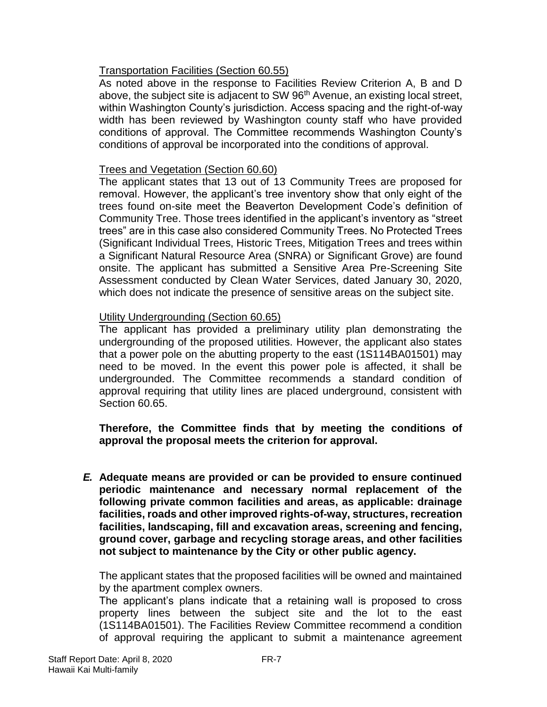#### Transportation Facilities (Section 60.55)

As noted above in the response to Facilities Review Criterion A, B and D above, the subject site is adjacent to SW 96<sup>th</sup> Avenue, an existing local street, within Washington County's jurisdiction. Access spacing and the right-of-way width has been reviewed by Washington county staff who have provided conditions of approval. The Committee recommends Washington County's conditions of approval be incorporated into the conditions of approval.

#### Trees and Vegetation (Section 60.60)

The applicant states that 13 out of 13 Community Trees are proposed for removal. However, the applicant's tree inventory show that only eight of the trees found on-site meet the Beaverton Development Code's definition of Community Tree. Those trees identified in the applicant's inventory as "street trees" are in this case also considered Community Trees. No Protected Trees (Significant Individual Trees, Historic Trees, Mitigation Trees and trees within a Significant Natural Resource Area (SNRA) or Significant Grove) are found onsite. The applicant has submitted a Sensitive Area Pre-Screening Site Assessment conducted by Clean Water Services, dated January 30, 2020, which does not indicate the presence of sensitive areas on the subject site.

#### Utility Undergrounding (Section 60.65)

The applicant has provided a preliminary utility plan demonstrating the undergrounding of the proposed utilities. However, the applicant also states that a power pole on the abutting property to the east (1S114BA01501) may need to be moved. In the event this power pole is affected, it shall be undergrounded. The Committee recommends a standard condition of approval requiring that utility lines are placed underground, consistent with Section 60.65.

**Therefore, the Committee finds that by meeting the conditions of approval the proposal meets the criterion for approval.**

*E.* **Adequate means are provided or can be provided to ensure continued periodic maintenance and necessary normal replacement of the following private common facilities and areas, as applicable: drainage facilities, roads and other improved rights-of-way, structures, recreation facilities, landscaping, fill and excavation areas, screening and fencing, ground cover, garbage and recycling storage areas, and other facilities not subject to maintenance by the City or other public agency.**

The applicant states that the proposed facilities will be owned and maintained by the apartment complex owners.

The applicant's plans indicate that a retaining wall is proposed to cross property lines between the subject site and the lot to the east (1S114BA01501). The Facilities Review Committee recommend a condition of approval requiring the applicant to submit a maintenance agreement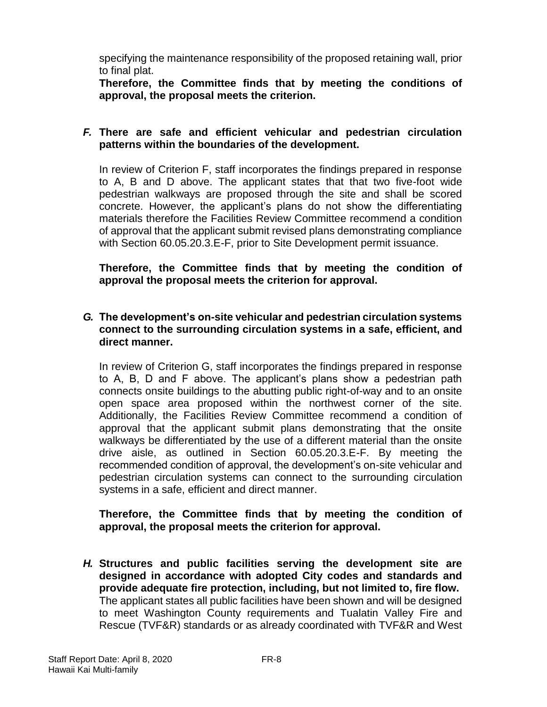specifying the maintenance responsibility of the proposed retaining wall, prior to final plat.

**Therefore, the Committee finds that by meeting the conditions of approval, the proposal meets the criterion.**

#### *F.* **There are safe and efficient vehicular and pedestrian circulation patterns within the boundaries of the development.**

In review of Criterion F, staff incorporates the findings prepared in response to A, B and D above. The applicant states that that two five-foot wide pedestrian walkways are proposed through the site and shall be scored concrete. However, the applicant's plans do not show the differentiating materials therefore the Facilities Review Committee recommend a condition of approval that the applicant submit revised plans demonstrating compliance with Section 60.05.20.3.E-F, prior to Site Development permit issuance.

**Therefore, the Committee finds that by meeting the condition of approval the proposal meets the criterion for approval.**

#### *G.* **The development's on-site vehicular and pedestrian circulation systems connect to the surrounding circulation systems in a safe, efficient, and direct manner.**

In review of Criterion G, staff incorporates the findings prepared in response to A, B, D and F above. The applicant's plans show a pedestrian path connects onsite buildings to the abutting public right-of-way and to an onsite open space area proposed within the northwest corner of the site. Additionally, the Facilities Review Committee recommend a condition of approval that the applicant submit plans demonstrating that the onsite walkways be differentiated by the use of a different material than the onsite drive aisle, as outlined in Section 60.05.20.3.E-F. By meeting the recommended condition of approval, the development's on-site vehicular and pedestrian circulation systems can connect to the surrounding circulation systems in a safe, efficient and direct manner.

#### **Therefore, the Committee finds that by meeting the condition of approval, the proposal meets the criterion for approval.**

*H.* **Structures and public facilities serving the development site are designed in accordance with adopted City codes and standards and provide adequate fire protection, including, but not limited to, fire flow.** The applicant states all public facilities have been shown and will be designed to meet Washington County requirements and Tualatin Valley Fire and Rescue (TVF&R) standards or as already coordinated with TVF&R and West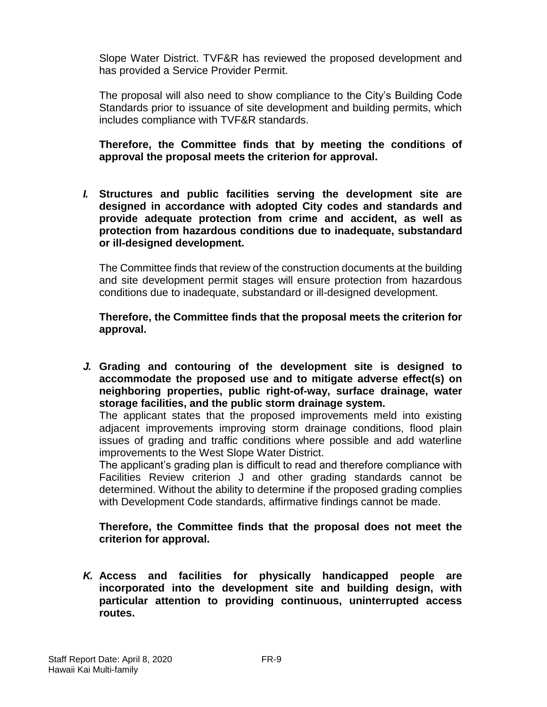Slope Water District. TVF&R has reviewed the proposed development and has provided a Service Provider Permit.

The proposal will also need to show compliance to the City's Building Code Standards prior to issuance of site development and building permits, which includes compliance with TVF&R standards.

**Therefore, the Committee finds that by meeting the conditions of approval the proposal meets the criterion for approval.**

*I.* **Structures and public facilities serving the development site are designed in accordance with adopted City codes and standards and provide adequate protection from crime and accident, as well as protection from hazardous conditions due to inadequate, substandard or ill-designed development.**

The Committee finds that review of the construction documents at the building and site development permit stages will ensure protection from hazardous conditions due to inadequate, substandard or ill-designed development.

**Therefore, the Committee finds that the proposal meets the criterion for approval.**

*J.* **Grading and contouring of the development site is designed to accommodate the proposed use and to mitigate adverse effect(s) on neighboring properties, public right-of-way, surface drainage, water storage facilities, and the public storm drainage system.**

The applicant states that the proposed improvements meld into existing adjacent improvements improving storm drainage conditions, flood plain issues of grading and traffic conditions where possible and add waterline improvements to the West Slope Water District.

The applicant's grading plan is difficult to read and therefore compliance with Facilities Review criterion J and other grading standards cannot be determined. Without the ability to determine if the proposed grading complies with Development Code standards, affirmative findings cannot be made.

**Therefore, the Committee finds that the proposal does not meet the criterion for approval.**

*K.* **Access and facilities for physically handicapped people are incorporated into the development site and building design, with particular attention to providing continuous, uninterrupted access routes.**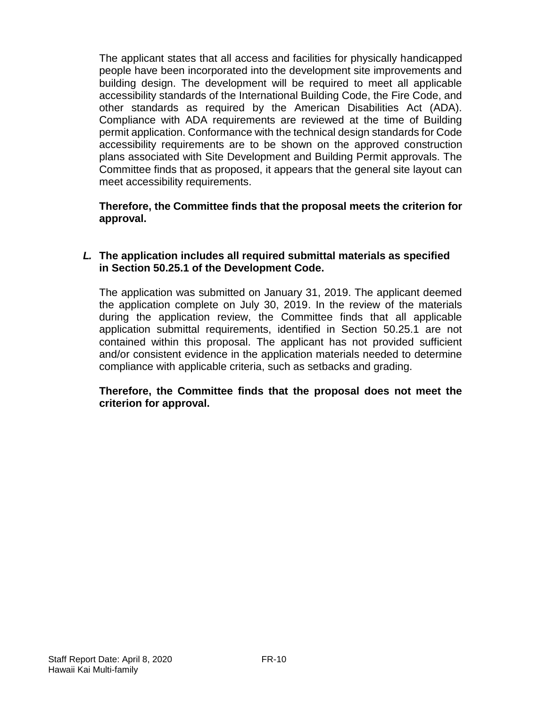The applicant states that all access and facilities for physically handicapped people have been incorporated into the development site improvements and building design. The development will be required to meet all applicable accessibility standards of the International Building Code, the Fire Code, and other standards as required by the American Disabilities Act (ADA). Compliance with ADA requirements are reviewed at the time of Building permit application. Conformance with the technical design standards for Code accessibility requirements are to be shown on the approved construction plans associated with Site Development and Building Permit approvals. The Committee finds that as proposed, it appears that the general site layout can meet accessibility requirements.

**Therefore, the Committee finds that the proposal meets the criterion for approval.**

#### *L.* **The application includes all required submittal materials as specified in Section 50.25.1 of the Development Code.**

The application was submitted on January 31, 2019. The applicant deemed the application complete on July 30, 2019. In the review of the materials during the application review, the Committee finds that all applicable application submittal requirements, identified in Section 50.25.1 are not contained within this proposal. The applicant has not provided sufficient and/or consistent evidence in the application materials needed to determine compliance with applicable criteria, such as setbacks and grading.

#### **Therefore, the Committee finds that the proposal does not meet the criterion for approval.**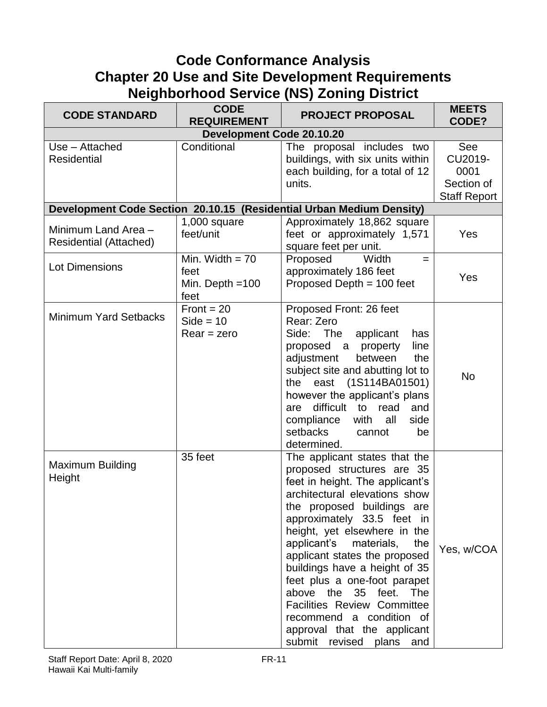## **Code Conformance Analysis Chapter 20 Use and Site Development Requirements Neighborhood Service (NS) Zoning District**

| <b>CODE STANDARD</b>                                 | <b>CODE</b><br><b>REQUIREMENT</b>                      | <b>PROJECT PROPOSAL</b>                                                                                                                                                                                                                                                                                                                                                                                                                                                                                                        | <b>MEETS</b><br>CODE?                                       |
|------------------------------------------------------|--------------------------------------------------------|--------------------------------------------------------------------------------------------------------------------------------------------------------------------------------------------------------------------------------------------------------------------------------------------------------------------------------------------------------------------------------------------------------------------------------------------------------------------------------------------------------------------------------|-------------------------------------------------------------|
|                                                      | <b>Development Code 20.10.20</b>                       |                                                                                                                                                                                                                                                                                                                                                                                                                                                                                                                                |                                                             |
| Use - Attached<br><b>Residential</b>                 | Conditional                                            | The proposal includes two<br>buildings, with six units within<br>each building, for a total of 12<br>units.                                                                                                                                                                                                                                                                                                                                                                                                                    | See<br>CU2019-<br>0001<br>Section of<br><b>Staff Report</b> |
|                                                      |                                                        | Development Code Section 20.10.15 (Residential Urban Medium Density)                                                                                                                                                                                                                                                                                                                                                                                                                                                           |                                                             |
| Minimum Land Area -<br><b>Residential (Attached)</b> | $1,000$ square<br>feet/unit                            | Approximately 18,862 square<br>feet or approximately 1,571<br>square feet per unit.                                                                                                                                                                                                                                                                                                                                                                                                                                            | Yes                                                         |
| <b>Lot Dimensions</b>                                | Min. Width $= 70$<br>feet<br>Min. Depth $=100$<br>feet | Proposed<br>Width<br>$=$<br>approximately 186 feet<br>Proposed Depth $= 100$ feet                                                                                                                                                                                                                                                                                                                                                                                                                                              | Yes                                                         |
| <b>Minimum Yard Setbacks</b>                         | $Front = 20$<br>$Side = 10$<br>$Rear = zero$           | Proposed Front: 26 feet<br>Rear: Zero<br>Side: The<br>applicant<br>has<br>line<br>proposed a property<br>adjustment<br>between<br>the<br>subject site and abutting lot to<br>east (1S114BA01501)<br>the<br>however the applicant's plans<br>difficult to<br>read<br>and<br>are<br>compliance<br>with<br>all<br>side<br>setbacks<br>be<br>cannot<br>determined.                                                                                                                                                                 | <b>No</b>                                                   |
| <b>Maximum Building</b><br>Height                    | 35 feet                                                | The applicant states that the<br>proposed structures are 35<br>feet in height. The applicant's<br>architectural elevations show<br>the proposed buildings are<br>approximately 33.5 feet in<br>height, yet elsewhere in the<br>applicant's<br>materials,<br>the<br>applicant states the proposed<br>buildings have a height of 35<br>feet plus a one-foot parapet<br>above the<br>35 feet. The<br><b>Facilities Review Committee</b><br>recommend a condition of<br>approval that the applicant<br>submit revised plans<br>and | Yes, w/COA                                                  |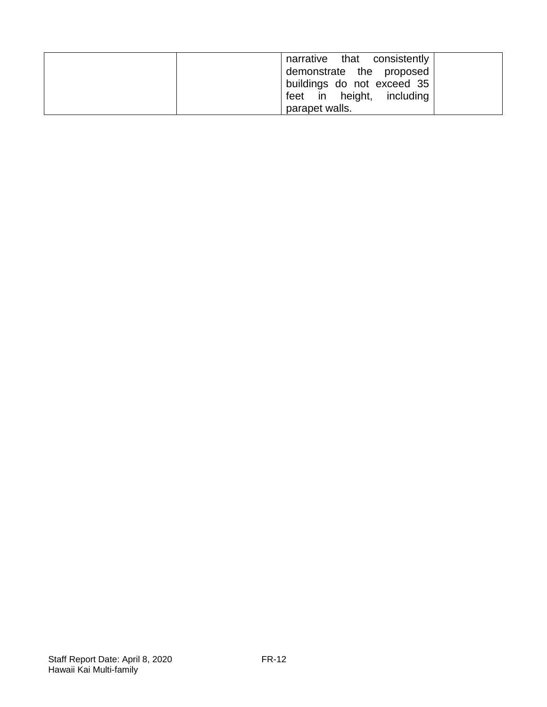| narrative that consistently |
|-----------------------------|
| demonstrate the proposed    |
| buildings do not exceed 35  |
| feet in height, including   |
| parapet walls.              |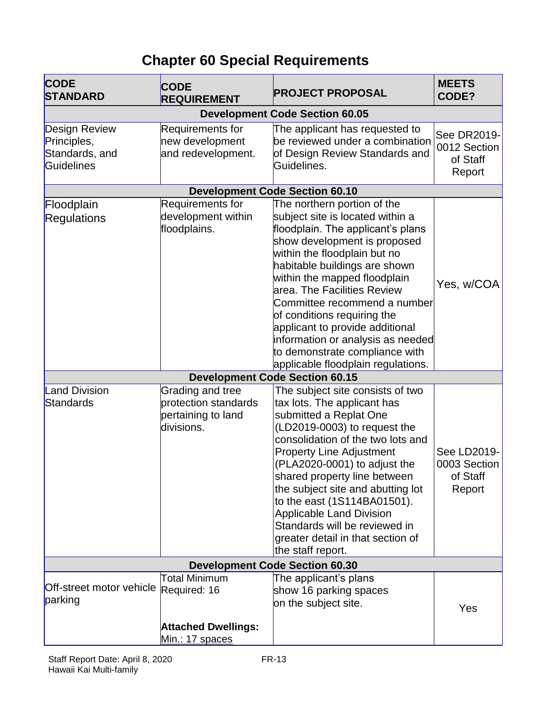# **Chapter 60 Special Requirements**

| <b>CODE</b><br><b>STANDARD</b>                                      | <b>CODE</b><br><b>REQUIREMENT</b>                                            | <b>PROJECT PROPOSAL</b>                                                                                                                                                                                                                                                                                                                                                                                                                                                             | <b>MEETS</b><br>CODE?                             |
|---------------------------------------------------------------------|------------------------------------------------------------------------------|-------------------------------------------------------------------------------------------------------------------------------------------------------------------------------------------------------------------------------------------------------------------------------------------------------------------------------------------------------------------------------------------------------------------------------------------------------------------------------------|---------------------------------------------------|
|                                                                     |                                                                              | <b>Development Code Section 60.05</b>                                                                                                                                                                                                                                                                                                                                                                                                                                               |                                                   |
| <b>Design Review</b><br>Principles,<br>Standards, and<br>Guidelines | Requirements for<br>new development<br>and redevelopment.                    | The applicant has requested to<br>be reviewed under a combination<br>of Design Review Standards and<br>Guidelines.                                                                                                                                                                                                                                                                                                                                                                  | See DR2019-<br>0012 Section<br>of Staff<br>Report |
|                                                                     |                                                                              | <b>Development Code Section 60.10</b>                                                                                                                                                                                                                                                                                                                                                                                                                                               |                                                   |
| Floodplain<br>Regulations                                           | Requirements for<br>development within<br>floodplains.                       | The northern portion of the<br>subject site is located within a<br>floodplain. The applicant's plans<br>show development is proposed<br>within the floodplain but no<br>habitable buildings are shown<br>within the mapped floodplain<br>area. The Facilities Review<br>Committee recommend a number<br>of conditions requiring the<br>applicant to provide additional<br>information or analysis as needed<br>to demonstrate compliance with<br>applicable floodplain regulations. | Yes, w/COA                                        |
|                                                                     |                                                                              | <b>Development Code Section 60.15</b>                                                                                                                                                                                                                                                                                                                                                                                                                                               |                                                   |
| <b>Land Division</b><br>Standards                                   | Grading and tree<br>protection standards<br>pertaining to land<br>divisions. | The subject site consists of two<br>tax lots. The applicant has<br>submitted a Replat One<br>(LD2019-0003) to request the<br>consolidation of the two lots and<br><b>Property Line Adjustment</b><br>(PLA2020-0001) to adjust the<br>shared property line between<br>the subject site and abutting lot<br>to the east (1S114BA01501).<br><b>Applicable Land Division</b><br>Standards will be reviewed in<br>greater detail in that section of<br>the staff report.                 | See LD2019-<br>0003 Section<br>of Staff<br>Report |
| <b>Development Code Section 60.30</b>                               |                                                                              |                                                                                                                                                                                                                                                                                                                                                                                                                                                                                     |                                                   |
| Off-street motor vehicle Required: 16<br>parking                    | <b>Total Minimum</b><br><b>Attached Dwellings:</b><br>Min.: 17 spaces        | The applicant's plans<br>show 16 parking spaces<br>on the subject site.                                                                                                                                                                                                                                                                                                                                                                                                             | Yes                                               |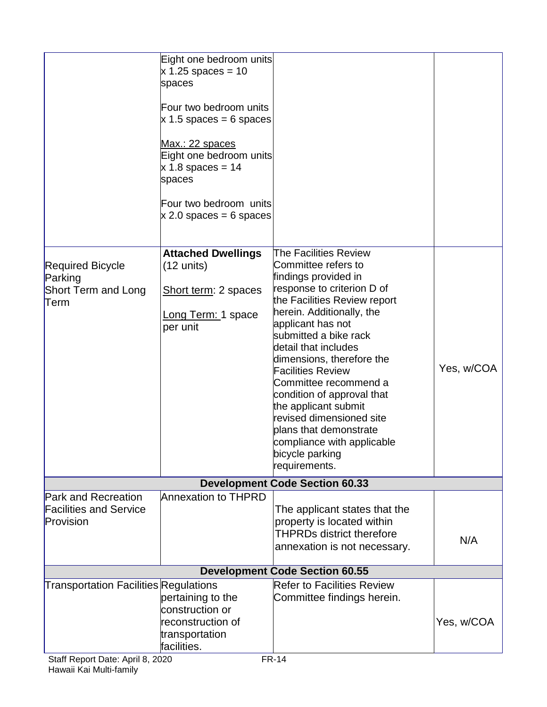|                                                                                            | Eight one bedroom units<br>$x$ 1.25 spaces = 10<br>spaces<br>Four two bedroom units<br>$\times$ 1.5 spaces = 6 spaces<br>Max.: 22 spaces<br>Eight one bedroom units<br>$x 1.8$ spaces = 14<br>spaces<br>Four two bedroom units<br>$\times$ 2.0 spaces = 6 spaces |                                                                                                                                                                                                                                                                                                                                                                                                                                                                                                       |            |
|--------------------------------------------------------------------------------------------|------------------------------------------------------------------------------------------------------------------------------------------------------------------------------------------------------------------------------------------------------------------|-------------------------------------------------------------------------------------------------------------------------------------------------------------------------------------------------------------------------------------------------------------------------------------------------------------------------------------------------------------------------------------------------------------------------------------------------------------------------------------------------------|------------|
| <b>Required Bicycle</b><br>Parking<br><b>Short Term and Long</b><br>Term                   | <b>Attached Dwellings</b><br>$(12 \text{ units})$<br>Short term: 2 spaces<br>Long Term: 1 space<br>per unit                                                                                                                                                      | The Facilities Review<br>Committee refers to<br>findings provided in<br>response to criterion D of<br>the Facilities Review report<br>herein. Additionally, the<br>applicant has not<br>submitted a bike rack<br>detail that includes<br>dimensions, therefore the<br><b>Facilities Review</b><br>Committee recommend a<br>condition of approval that<br>the applicant submit<br>revised dimensioned site<br>plans that demonstrate<br>compliance with applicable<br>bicycle parking<br>requirements. | Yes, w/COA |
|                                                                                            |                                                                                                                                                                                                                                                                  | <b>Development Code Section 60.33</b>                                                                                                                                                                                                                                                                                                                                                                                                                                                                 |            |
| <b>Park and Recreation</b><br><b>Facilities and Service</b><br>Provision                   | <b>Annexation to THPRD</b>                                                                                                                                                                                                                                       | The applicant states that the<br>property is located within<br><b>THPRDs district therefore</b><br>annexation is not necessary.                                                                                                                                                                                                                                                                                                                                                                       | N/A        |
|                                                                                            |                                                                                                                                                                                                                                                                  | <b>Development Code Section 60.55</b>                                                                                                                                                                                                                                                                                                                                                                                                                                                                 |            |
| <b>Transportation Facilities Regulations</b><br>$P_{\text{tot}}$ Donort Doto: April 0 2020 | pertaining to the<br>construction or<br>reconstruction of<br>transportation<br>facilities.                                                                                                                                                                       | <b>Refer to Facilities Review</b><br>Committee findings herein.<br>$CD$ 44                                                                                                                                                                                                                                                                                                                                                                                                                            | Yes, w/COA |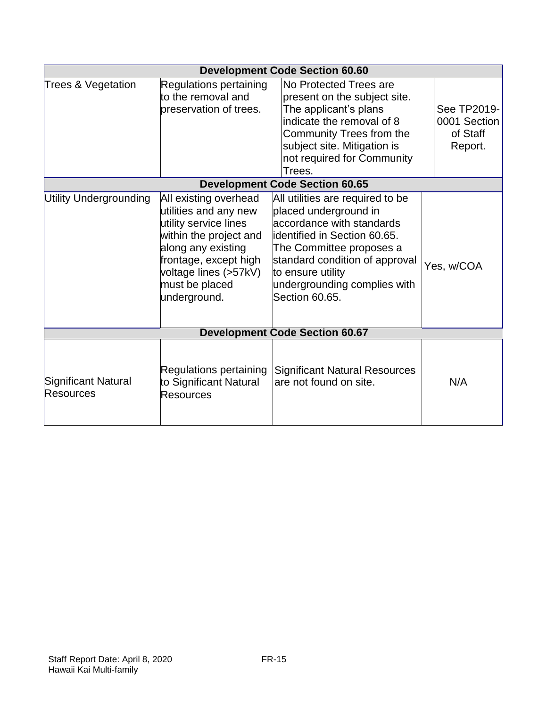|                                  |                                                                                                                                                                                                             | <b>Development Code Section 60.60</b>                                                                                                                                                                                                                       |                                                    |
|----------------------------------|-------------------------------------------------------------------------------------------------------------------------------------------------------------------------------------------------------------|-------------------------------------------------------------------------------------------------------------------------------------------------------------------------------------------------------------------------------------------------------------|----------------------------------------------------|
| <b>Trees &amp; Vegetation</b>    | Regulations pertaining<br>to the removal and<br>preservation of trees.                                                                                                                                      | No Protected Trees are<br>present on the subject site.<br>The applicant's plans<br>indicate the removal of 8<br>Community Trees from the<br>subject site. Mitigation is<br>not required for Community<br>Trees.                                             | See TP2019-<br>0001 Section<br>of Staff<br>Report. |
|                                  |                                                                                                                                                                                                             | <b>Development Code Section 60.65</b>                                                                                                                                                                                                                       |                                                    |
| <b>Utility Undergrounding</b>    | All existing overhead<br>utilities and any new<br>utility service lines<br>within the project and<br>along any existing<br>frontage, except high<br>voltage lines (>57kV)<br>must be placed<br>underground. | All utilities are required to be<br>placed underground in<br>accordance with standards<br>identified in Section 60.65.<br>The Committee proposes a<br>standard condition of approval<br>to ensure utility<br>undergrounding complies with<br>Section 60.65. | Yes, w/COA                                         |
|                                  |                                                                                                                                                                                                             | <b>Development Code Section 60.67</b>                                                                                                                                                                                                                       |                                                    |
| Significant Natural<br>Resources | Regulations pertaining<br>to Significant Natural<br>Resources                                                                                                                                               | <b>Significant Natural Resources</b><br>are not found on site.                                                                                                                                                                                              | N/A                                                |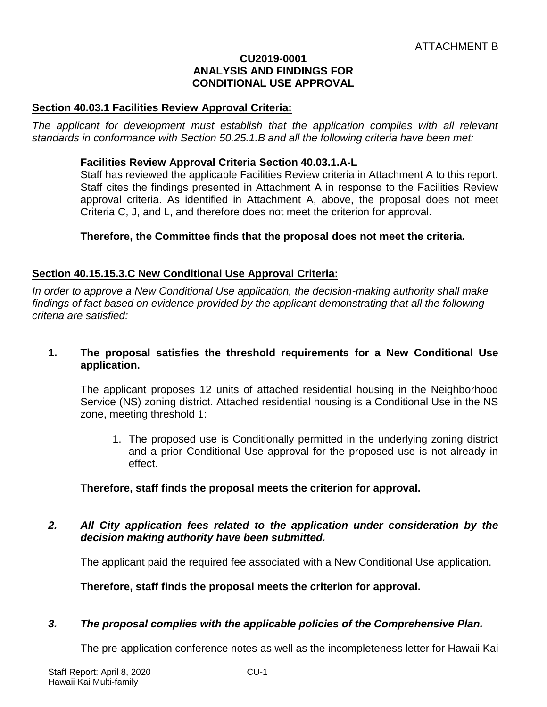#### **CU2019-0001 ANALYSIS AND FINDINGS FOR CONDITIONAL USE APPROVAL**

#### **Section 40.03.1 Facilities Review Approval Criteria:**

The applicant for development must establish that the application complies with all relevant *standards in conformance with Section 50.25.1.B and all the following criteria have been met:* 

#### **Facilities Review Approval Criteria Section 40.03.1.A-L**

Staff has reviewed the applicable Facilities Review criteria in Attachment A to this report. Staff cites the findings presented in Attachment A in response to the Facilities Review approval criteria. As identified in Attachment A, above, the proposal does not meet Criteria C, J, and L, and therefore does not meet the criterion for approval.

#### **Therefore, the Committee finds that the proposal does not meet the criteria.**

#### **Section 40.15.15.3.C New Conditional Use Approval Criteria:**

*In order to approve a New Conditional Use application, the decision-making authority shall make*  findings of fact based on evidence provided by the applicant demonstrating that all the following *criteria are satisfied:*

#### **1. The proposal satisfies the threshold requirements for a New Conditional Use application.**

The applicant proposes 12 units of attached residential housing in the Neighborhood Service (NS) zoning district. Attached residential housing is a Conditional Use in the NS zone, meeting threshold 1:

1. The proposed use is Conditionally permitted in the underlying zoning district and a prior Conditional Use approval for the proposed use is not already in effect.

#### **Therefore, staff finds the proposal meets the criterion for approval.**

*2. All City application fees related to the application under consideration by the decision making authority have been submitted.*

The applicant paid the required fee associated with a New Conditional Use application.

**Therefore, staff finds the proposal meets the criterion for approval.**

#### *3. The proposal complies with the applicable policies of the Comprehensive Plan.*

The pre-application conference notes as well as the incompleteness letter for Hawaii Kai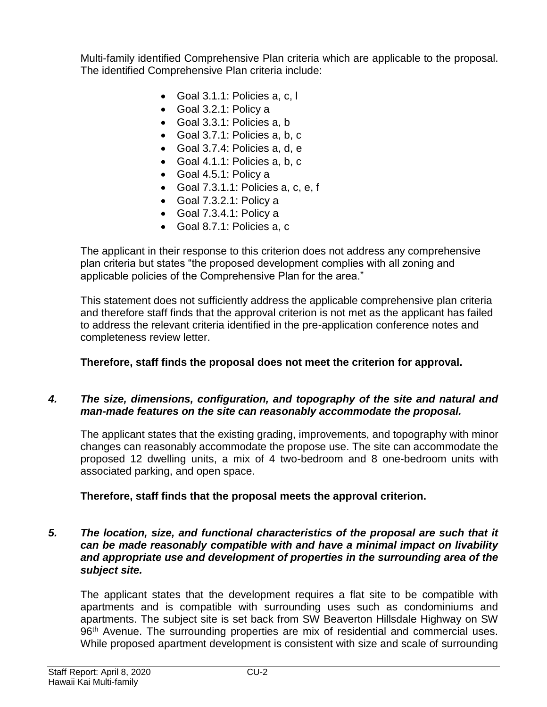Multi-family identified Comprehensive Plan criteria which are applicable to the proposal. The identified Comprehensive Plan criteria include:

- Goal 3.1.1: Policies a, c, l
- Goal 3.2.1: Policy a
- Goal 3.3.1: Policies a, b
- Goal 3.7.1: Policies a, b, c
- Goal 3.7.4: Policies a, d, e
- Goal 4.1.1: Policies a, b, c
- Goal 4.5.1: Policy a
- Goal 7.3.1.1: Policies a, c, e, f
- Goal 7.3.2.1: Policy a
- Goal 7.3.4.1: Policy a
- Goal 8.7.1: Policies a, c

The applicant in their response to this criterion does not address any comprehensive plan criteria but states "the proposed development complies with all zoning and applicable policies of the Comprehensive Plan for the area."

This statement does not sufficiently address the applicable comprehensive plan criteria and therefore staff finds that the approval criterion is not met as the applicant has failed to address the relevant criteria identified in the pre-application conference notes and completeness review letter.

#### **Therefore, staff finds the proposal does not meet the criterion for approval.**

#### *4. The size, dimensions, configuration, and topography of the site and natural and man-made features on the site can reasonably accommodate the proposal.*

The applicant states that the existing grading, improvements, and topography with minor changes can reasonably accommodate the propose use. The site can accommodate the proposed 12 dwelling units, a mix of 4 two-bedroom and 8 one-bedroom units with associated parking, and open space.

#### **Therefore, staff finds that the proposal meets the approval criterion.**

#### *5. The location, size, and functional characteristics of the proposal are such that it can be made reasonably compatible with and have a minimal impact on livability and appropriate use and development of properties in the surrounding area of the subject site.*

The applicant states that the development requires a flat site to be compatible with apartments and is compatible with surrounding uses such as condominiums and apartments. The subject site is set back from SW Beaverton Hillsdale Highway on SW 96<sup>th</sup> Avenue. The surrounding properties are mix of residential and commercial uses. While proposed apartment development is consistent with size and scale of surrounding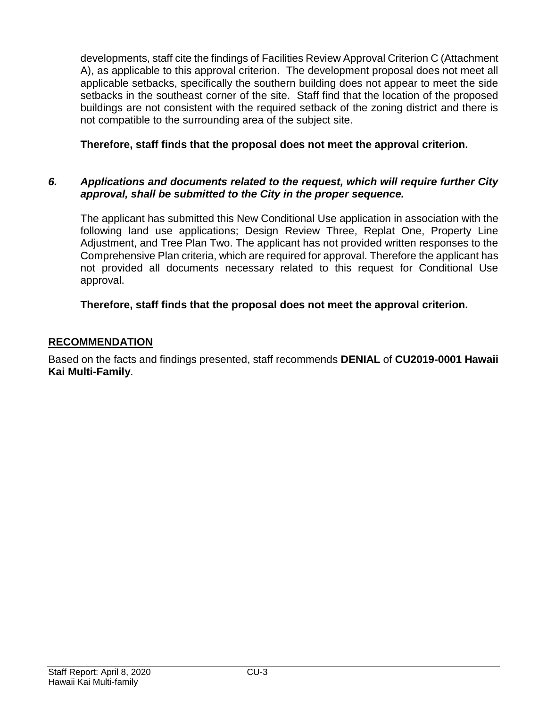developments, staff cite the findings of Facilities Review Approval Criterion C (Attachment A), as applicable to this approval criterion. The development proposal does not meet all applicable setbacks, specifically the southern building does not appear to meet the side setbacks in the southeast corner of the site. Staff find that the location of the proposed buildings are not consistent with the required setback of the zoning district and there is not compatible to the surrounding area of the subject site.

## **Therefore, staff finds that the proposal does not meet the approval criterion.**

## *6. Applications and documents related to the request, which will require further City approval, shall be submitted to the City in the proper sequence.*

The applicant has submitted this New Conditional Use application in association with the following land use applications; Design Review Three, Replat One, Property Line Adjustment, and Tree Plan Two. The applicant has not provided written responses to the Comprehensive Plan criteria, which are required for approval. Therefore the applicant has not provided all documents necessary related to this request for Conditional Use approval.

## **Therefore, staff finds that the proposal does not meet the approval criterion.**

## **RECOMMENDATION**

Based on the facts and findings presented, staff recommends **DENIAL** of **CU2019-0001 Hawaii Kai Multi-Family**.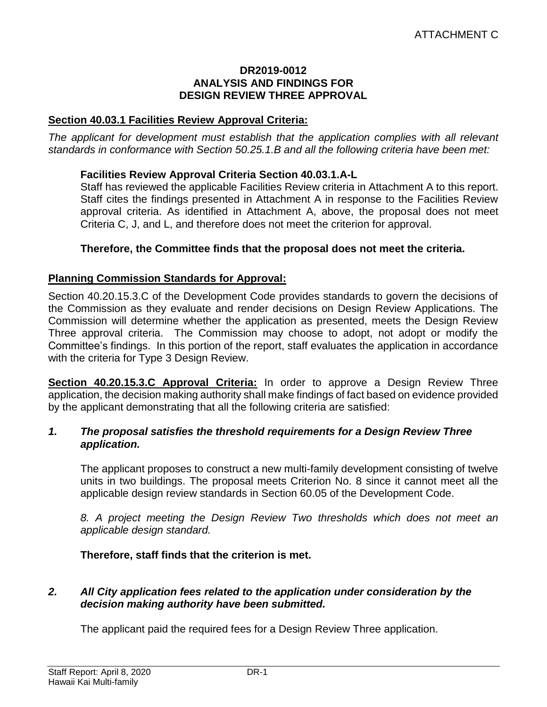#### **DR2019-0012 ANALYSIS AND FINDINGS FOR DESIGN REVIEW THREE APPROVAL**

#### **Section 40.03.1 Facilities Review Approval Criteria:**

*The applicant for development must establish that the application complies with all relevant standards in conformance with Section 50.25.1.B and all the following criteria have been met:* 

#### **Facilities Review Approval Criteria Section 40.03.1.A-L**

Staff has reviewed the applicable Facilities Review criteria in Attachment A to this report. Staff cites the findings presented in Attachment A in response to the Facilities Review approval criteria. As identified in Attachment A, above, the proposal does not meet Criteria C, J, and L, and therefore does not meet the criterion for approval.

#### **Therefore, the Committee finds that the proposal does not meet the criteria.**

#### **Planning Commission Standards for Approval:**

Section 40.20.15.3.C of the Development Code provides standards to govern the decisions of the Commission as they evaluate and render decisions on Design Review Applications. The Commission will determine whether the application as presented, meets the Design Review Three approval criteria. The Commission may choose to adopt, not adopt or modify the Committee's findings. In this portion of the report, staff evaluates the application in accordance with the criteria for Type 3 Design Review.

**Section 40.20.15.3.C Approval Criteria:** In order to approve a Design Review Three application, the decision making authority shall make findings of fact based on evidence provided by the applicant demonstrating that all the following criteria are satisfied:

#### *1. The proposal satisfies the threshold requirements for a Design Review Three application.*

The applicant proposes to construct a new multi-family development consisting of twelve units in two buildings. The proposal meets Criterion No. 8 since it cannot meet all the applicable design review standards in Section 60.05 of the Development Code.

*8. A project meeting the Design Review Two thresholds which does not meet an applicable design standard.*

#### **Therefore, staff finds that the criterion is met.**

#### *2. All City application fees related to the application under consideration by the decision making authority have been submitted.*

The applicant paid the required fees for a Design Review Three application.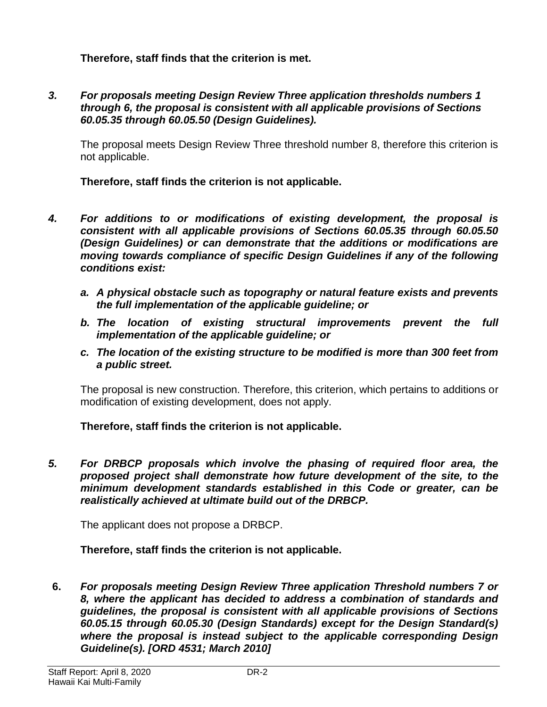**Therefore, staff finds that the criterion is met.**

*3. For proposals meeting Design Review Three application thresholds numbers 1 through 6, the proposal is consistent with all applicable provisions of Sections 60.05.35 through 60.05.50 (Design Guidelines).*

The proposal meets Design Review Three threshold number 8, therefore this criterion is not applicable.

**Therefore, staff finds the criterion is not applicable.**

- *4. For additions to or modifications of existing development, the proposal is consistent with all applicable provisions of Sections 60.05.35 through 60.05.50 (Design Guidelines) or can demonstrate that the additions or modifications are moving towards compliance of specific Design Guidelines if any of the following conditions exist:*
	- *a. A physical obstacle such as topography or natural feature exists and prevents the full implementation of the applicable guideline; or*
	- *b. The location of existing structural improvements prevent the full implementation of the applicable guideline; or*
	- *c. The location of the existing structure to be modified is more than 300 feet from a public street.*

The proposal is new construction. Therefore, this criterion, which pertains to additions or modification of existing development, does not apply.

**Therefore, staff finds the criterion is not applicable.**

*5. For DRBCP proposals which involve the phasing of required floor area, the proposed project shall demonstrate how future development of the site, to the minimum development standards established in this Code or greater, can be realistically achieved at ultimate build out of the DRBCP.*

The applicant does not propose a DRBCP.

#### **Therefore, staff finds the criterion is not applicable.**

**6.** *For proposals meeting Design Review Three application Threshold numbers 7 or 8, where the applicant has decided to address a combination of standards and guidelines, the proposal is consistent with all applicable provisions of Sections 60.05.15 through 60.05.30 (Design Standards) except for the Design Standard(s) where the proposal is instead subject to the applicable corresponding Design Guideline(s). [ORD 4531; March 2010]*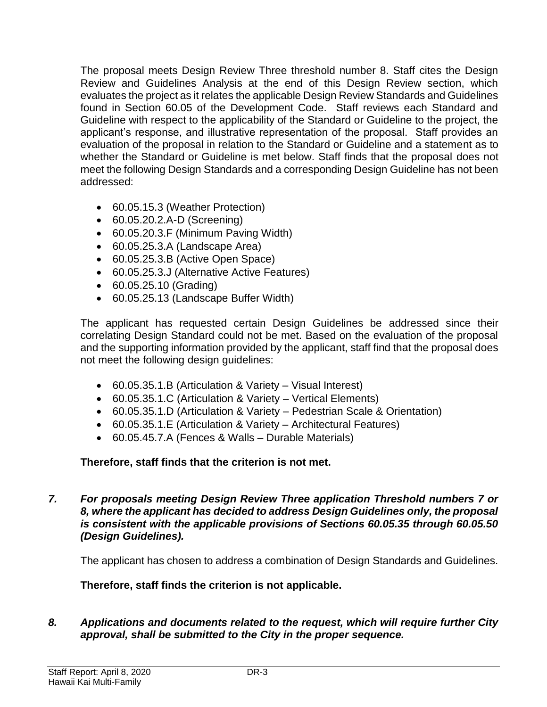The proposal meets Design Review Three threshold number 8. Staff cites the Design Review and Guidelines Analysis at the end of this Design Review section, which evaluates the project as it relates the applicable Design Review Standards and Guidelines found in Section 60.05 of the Development Code. Staff reviews each Standard and Guideline with respect to the applicability of the Standard or Guideline to the project, the applicant's response, and illustrative representation of the proposal. Staff provides an evaluation of the proposal in relation to the Standard or Guideline and a statement as to whether the Standard or Guideline is met below. Staff finds that the proposal does not meet the following Design Standards and a corresponding Design Guideline has not been addressed:

- 60.05.15.3 (Weather Protection)
- 60.05.20.2.A-D (Screening)
- 60.05.20.3.F (Minimum Paving Width)
- 60.05.25.3.A (Landscape Area)
- 60.05.25.3.B (Active Open Space)
- 60.05.25.3.J (Alternative Active Features)
- 60.05.25.10 (Grading)
- 60.05.25.13 (Landscape Buffer Width)

The applicant has requested certain Design Guidelines be addressed since their correlating Design Standard could not be met. Based on the evaluation of the proposal and the supporting information provided by the applicant, staff find that the proposal does not meet the following design guidelines:

- 60.05.35.1.B (Articulation & Variety Visual Interest)
- 60.05.35.1.C (Articulation & Variety Vertical Elements)
- 60.05.35.1.D (Articulation & Variety Pedestrian Scale & Orientation)
- 60.05.35.1.E (Articulation & Variety Architectural Features)
- 60.05.45.7.A (Fences & Walls Durable Materials)

**Therefore, staff finds that the criterion is not met.** 

*7. For proposals meeting Design Review Three application Threshold numbers 7 or 8, where the applicant has decided to address Design Guidelines only, the proposal is consistent with the applicable provisions of Sections 60.05.35 through 60.05.50 (Design Guidelines).* 

The applicant has chosen to address a combination of Design Standards and Guidelines.

**Therefore, staff finds the criterion is not applicable.**

*8. Applications and documents related to the request, which will require further City approval, shall be submitted to the City in the proper sequence.*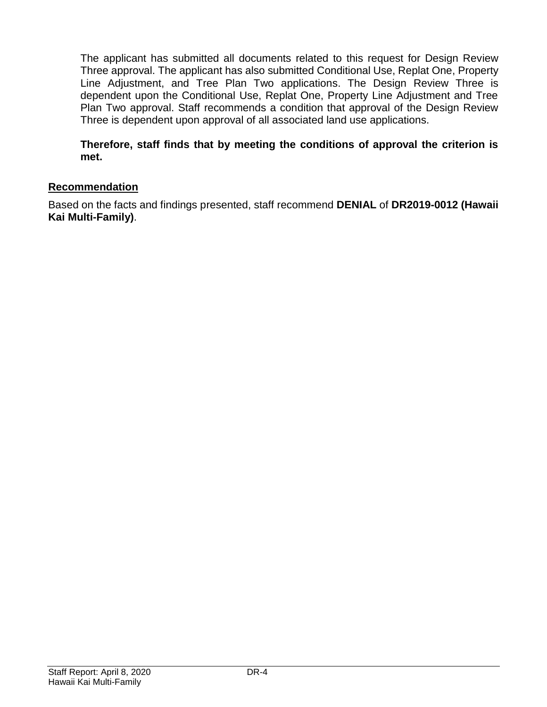The applicant has submitted all documents related to this request for Design Review Three approval. The applicant has also submitted Conditional Use, Replat One, Property Line Adjustment, and Tree Plan Two applications. The Design Review Three is dependent upon the Conditional Use, Replat One, Property Line Adjustment and Tree Plan Two approval. Staff recommends a condition that approval of the Design Review Three is dependent upon approval of all associated land use applications.

**Therefore, staff finds that by meeting the conditions of approval the criterion is met.**

## **Recommendation**

Based on the facts and findings presented, staff recommend **DENIAL** of **DR2019-0012 (Hawaii Kai Multi-Family)**.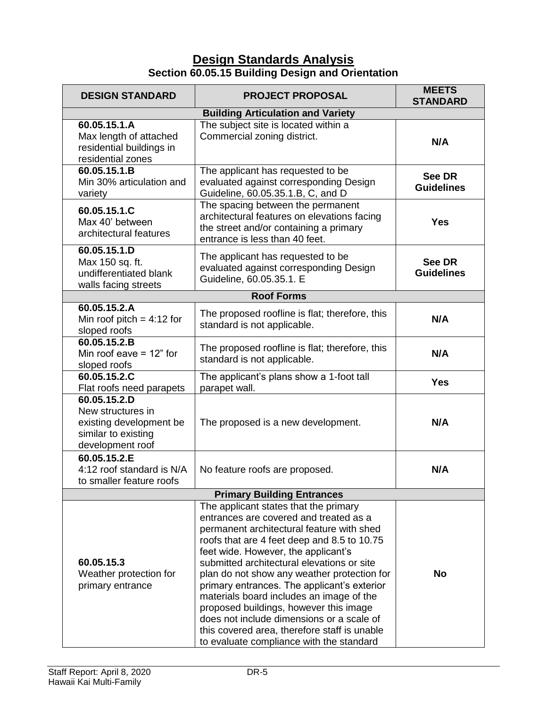## **Design Standards Analysis Section 60.05.15 Building Design and Orientation**

| <b>DESIGN STANDARD</b>                                                                                  | <b>PROJECT PROPOSAL</b>                                                                                                                                                                                                                                                                                                                                                                                                                                                                                                                                                                       | <b>MEETS</b><br><b>STANDARD</b>    |  |
|---------------------------------------------------------------------------------------------------------|-----------------------------------------------------------------------------------------------------------------------------------------------------------------------------------------------------------------------------------------------------------------------------------------------------------------------------------------------------------------------------------------------------------------------------------------------------------------------------------------------------------------------------------------------------------------------------------------------|------------------------------------|--|
| <b>Building Articulation and Variety</b>                                                                |                                                                                                                                                                                                                                                                                                                                                                                                                                                                                                                                                                                               |                                    |  |
| 60.05.15.1.A<br>Max length of attached<br>residential buildings in<br>residential zones                 | The subject site is located within a<br>Commercial zoning district.                                                                                                                                                                                                                                                                                                                                                                                                                                                                                                                           | N/A                                |  |
| 60.05.15.1.B<br>Min 30% articulation and<br>variety                                                     | The applicant has requested to be<br>evaluated against corresponding Design<br>Guideline, 60.05.35.1.B, C, and D                                                                                                                                                                                                                                                                                                                                                                                                                                                                              | <b>See DR</b><br><b>Guidelines</b> |  |
| 60.05.15.1.C<br>Max 40' between<br>architectural features                                               | The spacing between the permanent<br>architectural features on elevations facing<br>the street and/or containing a primary<br>entrance is less than 40 feet.                                                                                                                                                                                                                                                                                                                                                                                                                                  | <b>Yes</b>                         |  |
| 60.05.15.1.D<br>Max 150 sq. ft.<br>undifferentiated blank<br>walls facing streets                       | The applicant has requested to be<br>evaluated against corresponding Design<br>Guideline, 60.05.35.1. E                                                                                                                                                                                                                                                                                                                                                                                                                                                                                       | See DR<br><b>Guidelines</b>        |  |
|                                                                                                         | <b>Roof Forms</b>                                                                                                                                                                                                                                                                                                                                                                                                                                                                                                                                                                             |                                    |  |
| 60.05.15.2.A<br>Min roof pitch = $4:12$ for<br>sloped roofs                                             | The proposed roofline is flat; therefore, this<br>standard is not applicable.                                                                                                                                                                                                                                                                                                                                                                                                                                                                                                                 | N/A                                |  |
| 60.05.15.2.B<br>Min roof eave $= 12$ " for<br>sloped roofs                                              | The proposed roofline is flat; therefore, this<br>standard is not applicable.                                                                                                                                                                                                                                                                                                                                                                                                                                                                                                                 | N/A                                |  |
| 60.05.15.2.C<br>Flat roofs need parapets                                                                | The applicant's plans show a 1-foot tall<br>parapet wall.                                                                                                                                                                                                                                                                                                                                                                                                                                                                                                                                     | <b>Yes</b>                         |  |
| 60.05.15.2.D<br>New structures in<br>existing development be<br>similar to existing<br>development roof | The proposed is a new development.                                                                                                                                                                                                                                                                                                                                                                                                                                                                                                                                                            | N/A                                |  |
| 60.05.15.2.E<br>4:12 roof standard is N/A<br>to smaller feature roofs                                   | No feature roofs are proposed.                                                                                                                                                                                                                                                                                                                                                                                                                                                                                                                                                                | N/A                                |  |
|                                                                                                         | <b>Primary Building Entrances</b>                                                                                                                                                                                                                                                                                                                                                                                                                                                                                                                                                             |                                    |  |
| 60.05.15.3<br>Weather protection for<br>primary entrance                                                | The applicant states that the primary<br>entrances are covered and treated as a<br>permanent architectural feature with shed<br>roofs that are 4 feet deep and 8.5 to 10.75<br>feet wide. However, the applicant's<br>submitted architectural elevations or site<br>plan do not show any weather protection for<br>primary entrances. The applicant's exterior<br>materials board includes an image of the<br>proposed buildings, however this image<br>does not include dimensions or a scale of<br>this covered area, therefore staff is unable<br>to evaluate compliance with the standard | No                                 |  |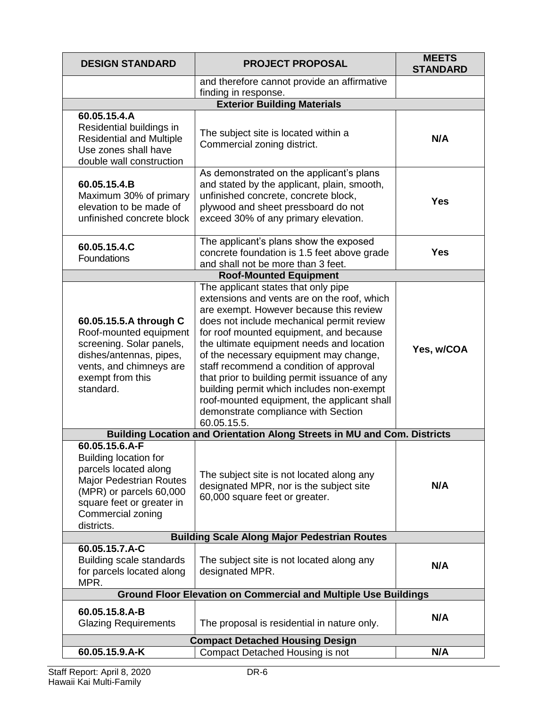| <b>DESIGN STANDARD</b>                                                                                                                                                                               | <b>PROJECT PROPOSAL</b>                                                                                                                                                                                                                                                                                                                                                                                                                                                                                                                                    | <b>MEETS</b><br><b>STANDARD</b> |  |
|------------------------------------------------------------------------------------------------------------------------------------------------------------------------------------------------------|------------------------------------------------------------------------------------------------------------------------------------------------------------------------------------------------------------------------------------------------------------------------------------------------------------------------------------------------------------------------------------------------------------------------------------------------------------------------------------------------------------------------------------------------------------|---------------------------------|--|
|                                                                                                                                                                                                      | and therefore cannot provide an affirmative<br>finding in response.                                                                                                                                                                                                                                                                                                                                                                                                                                                                                        |                                 |  |
|                                                                                                                                                                                                      | <b>Exterior Building Materials</b>                                                                                                                                                                                                                                                                                                                                                                                                                                                                                                                         |                                 |  |
| 60.05.15.4.A<br>Residential buildings in<br><b>Residential and Multiple</b><br>Use zones shall have<br>double wall construction                                                                      | The subject site is located within a<br>Commercial zoning district.                                                                                                                                                                                                                                                                                                                                                                                                                                                                                        | N/A                             |  |
| 60.05.15.4.B<br>Maximum 30% of primary<br>elevation to be made of<br>unfinished concrete block                                                                                                       | As demonstrated on the applicant's plans<br>and stated by the applicant, plain, smooth,<br>unfinished concrete, concrete block,<br>plywood and sheet pressboard do not<br>exceed 30% of any primary elevation.                                                                                                                                                                                                                                                                                                                                             | Yes                             |  |
| 60.05.15.4.C<br>Foundations                                                                                                                                                                          | The applicant's plans show the exposed<br>concrete foundation is 1.5 feet above grade<br>and shall not be more than 3 feet.                                                                                                                                                                                                                                                                                                                                                                                                                                | <b>Yes</b>                      |  |
|                                                                                                                                                                                                      | <b>Roof-Mounted Equipment</b>                                                                                                                                                                                                                                                                                                                                                                                                                                                                                                                              |                                 |  |
| 60.05.15.5.A through C<br>Roof-mounted equipment<br>screening. Solar panels,<br>dishes/antennas, pipes,<br>vents, and chimneys are<br>exempt from this<br>standard.                                  | The applicant states that only pipe<br>extensions and vents are on the roof, which<br>are exempt. However because this review<br>does not include mechanical permit review<br>for roof mounted equipment, and because<br>the ultimate equipment needs and location<br>of the necessary equipment may change,<br>staff recommend a condition of approval<br>that prior to building permit issuance of any<br>building permit which includes non-exempt<br>roof-mounted equipment, the applicant shall<br>demonstrate compliance with Section<br>60.05.15.5. | Yes, w/COA                      |  |
|                                                                                                                                                                                                      | Building Location and Orientation Along Streets in MU and Com. Districts                                                                                                                                                                                                                                                                                                                                                                                                                                                                                   |                                 |  |
| 60.05.15.6.A-F<br><b>Building location for</b><br>parcels located along<br><b>Major Pedestrian Routes</b><br>(MPR) or parcels 60,000<br>square feet or greater in<br>Commercial zoning<br>districts. | The subject site is not located along any<br>designated MPR, nor is the subject site<br>60,000 square feet or greater.                                                                                                                                                                                                                                                                                                                                                                                                                                     | N/A                             |  |
| <b>Building Scale Along Major Pedestrian Routes</b>                                                                                                                                                  |                                                                                                                                                                                                                                                                                                                                                                                                                                                                                                                                                            |                                 |  |
| 60.05.15.7.A-C<br>Building scale standards<br>for parcels located along<br>MPR.                                                                                                                      | The subject site is not located along any<br>designated MPR.                                                                                                                                                                                                                                                                                                                                                                                                                                                                                               | N/A                             |  |
| <b>Ground Floor Elevation on Commercial and Multiple Use Buildings</b>                                                                                                                               |                                                                                                                                                                                                                                                                                                                                                                                                                                                                                                                                                            |                                 |  |
| 60.05.15.8.A-B<br><b>Glazing Requirements</b>                                                                                                                                                        | The proposal is residential in nature only.                                                                                                                                                                                                                                                                                                                                                                                                                                                                                                                | N/A                             |  |
| <b>Compact Detached Housing Design</b>                                                                                                                                                               |                                                                                                                                                                                                                                                                                                                                                                                                                                                                                                                                                            |                                 |  |
| 60.05.15.9.A-K                                                                                                                                                                                       | Compact Detached Housing is not                                                                                                                                                                                                                                                                                                                                                                                                                                                                                                                            | N/A                             |  |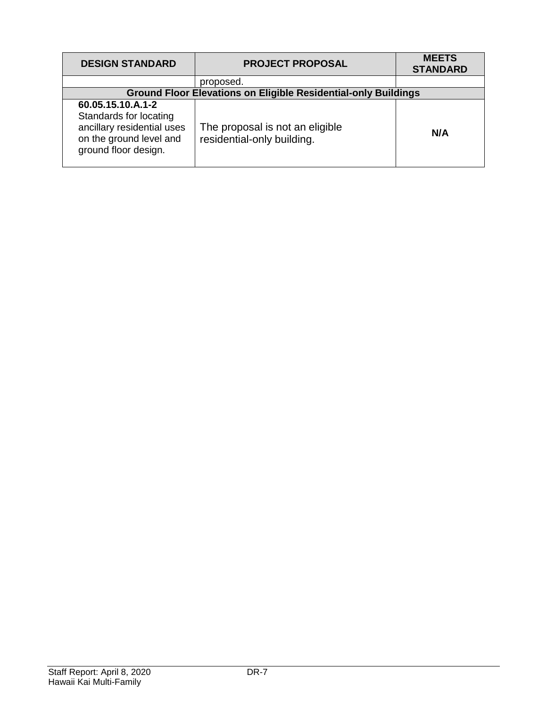| <b>DESIGN STANDARD</b>                                                                                                       | <b>PROJECT PROPOSAL</b>                                               | <b>MEETS</b><br><b>STANDARD</b> |
|------------------------------------------------------------------------------------------------------------------------------|-----------------------------------------------------------------------|---------------------------------|
|                                                                                                                              | proposed.                                                             |                                 |
|                                                                                                                              | <b>Ground Floor Elevations on Eligible Residential-only Buildings</b> |                                 |
| 60.05.15.10.A.1-2<br>Standards for locating<br>ancillary residential uses<br>on the ground level and<br>ground floor design. | The proposal is not an eligible<br>residential-only building.         | N/A                             |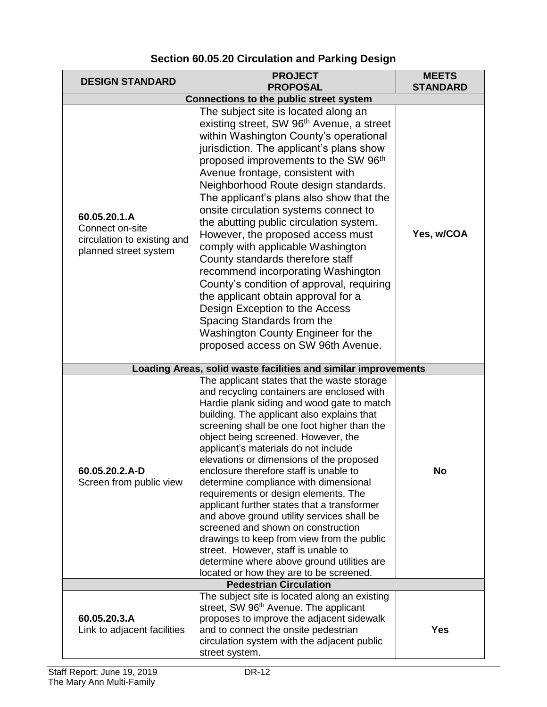| <b>DESIGN STANDARD</b>                                                                  | <b>PROJECT</b><br><b>PROPOSAL</b>                                                                                                                                                                                                                                                                                                                                                                                                                                                                                                                                                                                                                                                                                                                                                                                                       | <b>MEETS</b><br><b>STANDARD</b> |
|-----------------------------------------------------------------------------------------|-----------------------------------------------------------------------------------------------------------------------------------------------------------------------------------------------------------------------------------------------------------------------------------------------------------------------------------------------------------------------------------------------------------------------------------------------------------------------------------------------------------------------------------------------------------------------------------------------------------------------------------------------------------------------------------------------------------------------------------------------------------------------------------------------------------------------------------------|---------------------------------|
| <b>Connections to the public street system</b>                                          |                                                                                                                                                                                                                                                                                                                                                                                                                                                                                                                                                                                                                                                                                                                                                                                                                                         |                                 |
| 60.05.20.1.A<br>Connect on-site<br>circulation to existing and<br>planned street system | The subject site is located along an<br>existing street, SW 96 <sup>th</sup> Avenue, a street<br>within Washington County's operational<br>jurisdiction. The applicant's plans show<br>proposed improvements to the SW 96 <sup>th</sup><br>Avenue frontage, consistent with<br>Neighborhood Route design standards.<br>The applicant's plans also show that the<br>onsite circulation systems connect to<br>the abutting public circulation system.<br>However, the proposed access must<br>comply with applicable Washington<br>County standards therefore staff<br>recommend incorporating Washington<br>County's condition of approval, requiring<br>the applicant obtain approval for a<br>Design Exception to the Access<br>Spacing Standards from the<br>Washington County Engineer for the<br>proposed access on SW 96th Avenue. | Yes, w/COA                      |
|                                                                                         | Loading Areas, solid waste facilities and similar improvements                                                                                                                                                                                                                                                                                                                                                                                                                                                                                                                                                                                                                                                                                                                                                                          |                                 |
| 60.05.20.2.A-D<br>Screen from public view                                               | The applicant states that the waste storage<br>and recycling containers are enclosed with<br>Hardie plank siding and wood gate to match<br>building. The applicant also explains that<br>screening shall be one foot higher than the<br>object being screened. However, the<br>applicant's materials do not include<br>elevations or dimensions of the proposed<br>enclosure therefore staff is unable to<br>determine compliance with dimensional<br>requirements or design elements. The<br>applicant further states that a transformer<br>and above ground utility services shall be<br>screened and shown on construction<br>drawings to keep from view from the public<br>street. However, staff is unable to<br>determine where above ground utilities are<br>located or how they are to be screened.                             | <b>No</b>                       |
|                                                                                         | <b>Pedestrian Circulation</b>                                                                                                                                                                                                                                                                                                                                                                                                                                                                                                                                                                                                                                                                                                                                                                                                           |                                 |
| 60.05.20.3.A<br>Link to adjacent facilities                                             | The subject site is located along an existing<br>street, SW 96 <sup>th</sup> Avenue. The applicant<br>proposes to improve the adjacent sidewalk<br>and to connect the onsite pedestrian<br>circulation system with the adjacent public<br>street system.                                                                                                                                                                                                                                                                                                                                                                                                                                                                                                                                                                                | <b>Yes</b>                      |

## **Section 60.05.20 Circulation and Parking Design**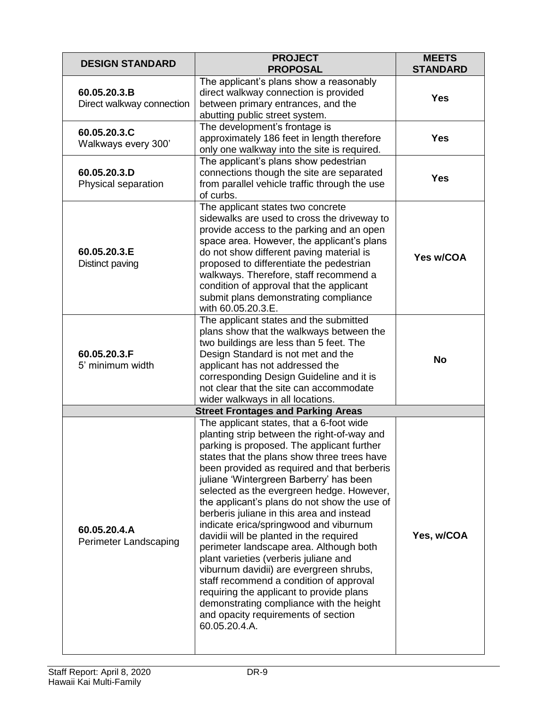| <b>DESIGN STANDARD</b>                    | <b>PROJECT</b><br><b>PROPOSAL</b>                                                                                                                                                                                                                                                                                                                                                                                                                                                                                                                                                                                                                                                                                                                                                                                                       | <b>MEETS</b><br><b>STANDARD</b> |
|-------------------------------------------|-----------------------------------------------------------------------------------------------------------------------------------------------------------------------------------------------------------------------------------------------------------------------------------------------------------------------------------------------------------------------------------------------------------------------------------------------------------------------------------------------------------------------------------------------------------------------------------------------------------------------------------------------------------------------------------------------------------------------------------------------------------------------------------------------------------------------------------------|---------------------------------|
| 60.05.20.3.B<br>Direct walkway connection | The applicant's plans show a reasonably<br>direct walkway connection is provided<br>between primary entrances, and the<br>abutting public street system.                                                                                                                                                                                                                                                                                                                                                                                                                                                                                                                                                                                                                                                                                | <b>Yes</b>                      |
| 60.05.20.3.C<br>Walkways every 300'       | The development's frontage is<br>approximately 186 feet in length therefore<br>only one walkway into the site is required.                                                                                                                                                                                                                                                                                                                                                                                                                                                                                                                                                                                                                                                                                                              | <b>Yes</b>                      |
| 60.05.20.3.D<br>Physical separation       | The applicant's plans show pedestrian<br>connections though the site are separated<br>from parallel vehicle traffic through the use<br>of curbs.                                                                                                                                                                                                                                                                                                                                                                                                                                                                                                                                                                                                                                                                                        | <b>Yes</b>                      |
| 60.05.20.3.E<br>Distinct paving           | The applicant states two concrete<br>sidewalks are used to cross the driveway to<br>provide access to the parking and an open<br>space area. However, the applicant's plans<br>do not show different paving material is<br>proposed to differentiate the pedestrian<br>walkways. Therefore, staff recommend a<br>condition of approval that the applicant<br>submit plans demonstrating compliance<br>with 60.05.20.3.E.                                                                                                                                                                                                                                                                                                                                                                                                                | Yes w/COA                       |
| 60.05.20.3.F<br>5' minimum width          | The applicant states and the submitted<br>plans show that the walkways between the<br>two buildings are less than 5 feet. The<br>Design Standard is not met and the<br>applicant has not addressed the<br>corresponding Design Guideline and it is<br>not clear that the site can accommodate<br>wider walkways in all locations.                                                                                                                                                                                                                                                                                                                                                                                                                                                                                                       | <b>No</b>                       |
|                                           | <b>Street Frontages and Parking Areas</b>                                                                                                                                                                                                                                                                                                                                                                                                                                                                                                                                                                                                                                                                                                                                                                                               |                                 |
| 60.05.20.4.A<br>Perimeter Landscaping     | The applicant states, that a 6-foot wide<br>planting strip between the right-of-way and<br>parking is proposed. The applicant further<br>states that the plans show three trees have<br>been provided as required and that berberis<br>juliane 'Wintergreen Barberry' has been<br>selected as the evergreen hedge. However,<br>the applicant's plans do not show the use of<br>berberis juliane in this area and instead<br>indicate erica/springwood and viburnum<br>davidii will be planted in the required<br>perimeter landscape area. Although both<br>plant varieties (verberis juliane and<br>viburnum davidii) are evergreen shrubs,<br>staff recommend a condition of approval<br>requiring the applicant to provide plans<br>demonstrating compliance with the height<br>and opacity requirements of section<br>60.05.20.4.A. | Yes, w/COA                      |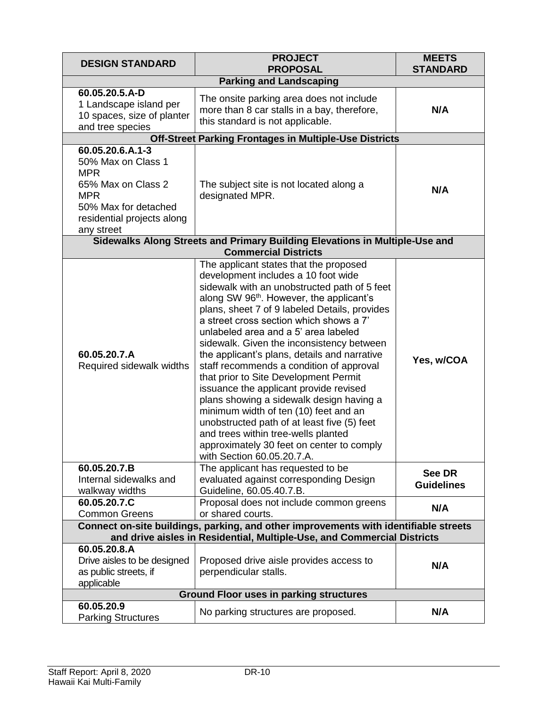| <b>DESIGN STANDARD</b>                                                                                                                                       | <b>PROJECT</b><br><b>PROPOSAL</b>                                                                                                                                                                                                                                                                                                                                                                                                                                                                                                                                                                                                                                                                                                                                                                           | <b>MEETS</b><br><b>STANDARD</b> |
|--------------------------------------------------------------------------------------------------------------------------------------------------------------|-------------------------------------------------------------------------------------------------------------------------------------------------------------------------------------------------------------------------------------------------------------------------------------------------------------------------------------------------------------------------------------------------------------------------------------------------------------------------------------------------------------------------------------------------------------------------------------------------------------------------------------------------------------------------------------------------------------------------------------------------------------------------------------------------------------|---------------------------------|
| <b>Parking and Landscaping</b>                                                                                                                               |                                                                                                                                                                                                                                                                                                                                                                                                                                                                                                                                                                                                                                                                                                                                                                                                             |                                 |
| 60.05.20.5.A-D<br>1 Landscape island per<br>10 spaces, size of planter<br>and tree species                                                                   | The onsite parking area does not include<br>more than 8 car stalls in a bay, therefore,<br>this standard is not applicable.                                                                                                                                                                                                                                                                                                                                                                                                                                                                                                                                                                                                                                                                                 | N/A                             |
|                                                                                                                                                              | <b>Off-Street Parking Frontages in Multiple-Use Districts</b>                                                                                                                                                                                                                                                                                                                                                                                                                                                                                                                                                                                                                                                                                                                                               |                                 |
| 60.05.20.6.A.1-3<br>50% Max on Class 1<br><b>MPR</b><br>65% Max on Class 2<br><b>MPR</b><br>50% Max for detached<br>residential projects along<br>any street | The subject site is not located along a<br>designated MPR.                                                                                                                                                                                                                                                                                                                                                                                                                                                                                                                                                                                                                                                                                                                                                  | N/A                             |
|                                                                                                                                                              | Sidewalks Along Streets and Primary Building Elevations in Multiple-Use and<br><b>Commercial Districts</b>                                                                                                                                                                                                                                                                                                                                                                                                                                                                                                                                                                                                                                                                                                  |                                 |
| 60.05.20.7.A<br>Required sidewalk widths                                                                                                                     | The applicant states that the proposed<br>development includes a 10 foot wide<br>sidewalk with an unobstructed path of 5 feet<br>along SW 96 <sup>th</sup> . However, the applicant's<br>plans, sheet 7 of 9 labeled Details, provides<br>a street cross section which shows a 7'<br>unlabeled area and a 5' area labeled<br>sidewalk. Given the inconsistency between<br>the applicant's plans, details and narrative<br>staff recommends a condition of approval<br>that prior to Site Development Permit<br>issuance the applicant provide revised<br>plans showing a sidewalk design having a<br>minimum width of ten (10) feet and an<br>unobstructed path of at least five (5) feet<br>and trees within tree-wells planted<br>approximately 30 feet on center to comply<br>with Section 60.05.20.7.A. | Yes, w/COA                      |
| 60.05.20.7.B<br>Internal sidewalks and<br>walkway widths                                                                                                     | The applicant has requested to be<br>evaluated against corresponding Design<br>Guideline, 60.05.40.7.B.                                                                                                                                                                                                                                                                                                                                                                                                                                                                                                                                                                                                                                                                                                     | See DR<br><b>Guidelines</b>     |
| 60.05.20.7.C<br><b>Common Greens</b>                                                                                                                         | Proposal does not include common greens<br>or shared courts.                                                                                                                                                                                                                                                                                                                                                                                                                                                                                                                                                                                                                                                                                                                                                | N/A                             |
|                                                                                                                                                              | Connect on-site buildings, parking, and other improvements with identifiable streets                                                                                                                                                                                                                                                                                                                                                                                                                                                                                                                                                                                                                                                                                                                        |                                 |
|                                                                                                                                                              | and drive aisles in Residential, Multiple-Use, and Commercial Districts                                                                                                                                                                                                                                                                                                                                                                                                                                                                                                                                                                                                                                                                                                                                     |                                 |
| 60.05.20.8.A<br>Drive aisles to be designed<br>as public streets, if<br>applicable                                                                           | Proposed drive aisle provides access to<br>perpendicular stalls.                                                                                                                                                                                                                                                                                                                                                                                                                                                                                                                                                                                                                                                                                                                                            | N/A                             |
| <b>Ground Floor uses in parking structures</b>                                                                                                               |                                                                                                                                                                                                                                                                                                                                                                                                                                                                                                                                                                                                                                                                                                                                                                                                             |                                 |
| 60.05.20.9<br><b>Parking Structures</b>                                                                                                                      | No parking structures are proposed.                                                                                                                                                                                                                                                                                                                                                                                                                                                                                                                                                                                                                                                                                                                                                                         | N/A                             |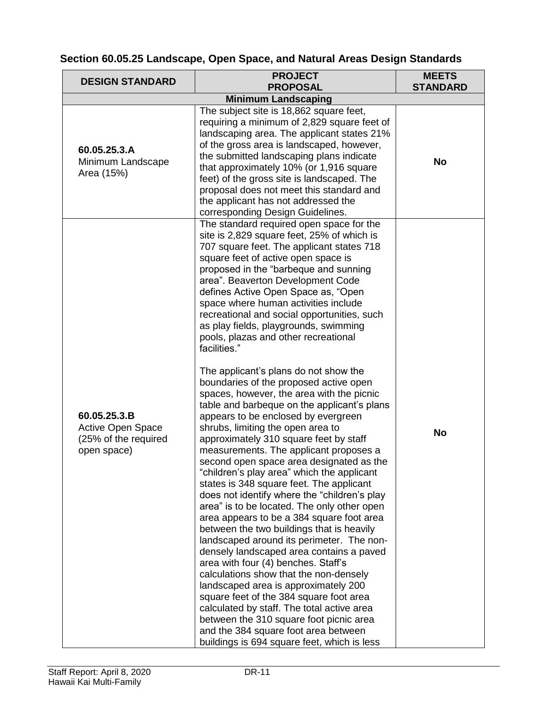## **Section 60.05.25 Landscape, Open Space, and Natural Areas Design Standards**

| <b>DESIGN STANDARD</b>                                                          | <b>PROJECT</b><br><b>PROPOSAL</b>                                                                                                                                                                                                                                                                                                                                                                                                                                                                                                                                                                                                                                                                                                                                                                                                                                                                                                                                                                                                                                                                                                                                                                                                                                                                                                                                                                                                                                                                                                                                                                                  | <b>MEETS</b><br><b>STANDARD</b> |
|---------------------------------------------------------------------------------|--------------------------------------------------------------------------------------------------------------------------------------------------------------------------------------------------------------------------------------------------------------------------------------------------------------------------------------------------------------------------------------------------------------------------------------------------------------------------------------------------------------------------------------------------------------------------------------------------------------------------------------------------------------------------------------------------------------------------------------------------------------------------------------------------------------------------------------------------------------------------------------------------------------------------------------------------------------------------------------------------------------------------------------------------------------------------------------------------------------------------------------------------------------------------------------------------------------------------------------------------------------------------------------------------------------------------------------------------------------------------------------------------------------------------------------------------------------------------------------------------------------------------------------------------------------------------------------------------------------------|---------------------------------|
|                                                                                 | <b>Minimum Landscaping</b>                                                                                                                                                                                                                                                                                                                                                                                                                                                                                                                                                                                                                                                                                                                                                                                                                                                                                                                                                                                                                                                                                                                                                                                                                                                                                                                                                                                                                                                                                                                                                                                         |                                 |
| 60.05.25.3.A<br>Minimum Landscape<br>Area (15%)                                 | The subject site is 18,862 square feet,<br>requiring a minimum of 2,829 square feet of<br>landscaping area. The applicant states 21%<br>of the gross area is landscaped, however,<br>the submitted landscaping plans indicate<br>that approximately 10% (or 1,916 square<br>feet) of the gross site is landscaped. The<br>proposal does not meet this standard and<br>the applicant has not addressed the<br>corresponding Design Guidelines.                                                                                                                                                                                                                                                                                                                                                                                                                                                                                                                                                                                                                                                                                                                                                                                                                                                                                                                                                                                                                                                                                                                                                                      | <b>No</b>                       |
| 60.05.25.3.B<br><b>Active Open Space</b><br>(25% of the required<br>open space) | The standard required open space for the<br>site is 2,829 square feet, 25% of which is<br>707 square feet. The applicant states 718<br>square feet of active open space is<br>proposed in the "barbeque and sunning<br>area". Beaverton Development Code<br>defines Active Open Space as, "Open<br>space where human activities include<br>recreational and social opportunities, such<br>as play fields, playgrounds, swimming<br>pools, plazas and other recreational<br>facilities."<br>The applicant's plans do not show the<br>boundaries of the proposed active open<br>spaces, however, the area with the picnic<br>table and barbeque on the applicant's plans<br>appears to be enclosed by evergreen<br>shrubs, limiting the open area to<br>approximately 310 square feet by staff<br>measurements. The applicant proposes a<br>second open space area designated as the<br>"children's play area" which the applicant<br>states is 348 square feet. The applicant<br>does not identify where the "children's play<br>area" is to be located. The only other open<br>area appears to be a 384 square foot area<br>between the two buildings that is heavily<br>landscaped around its perimeter. The non-<br>densely landscaped area contains a paved<br>area with four (4) benches. Staff's<br>calculations show that the non-densely<br>landscaped area is approximately 200<br>square feet of the 384 square foot area<br>calculated by staff. The total active area<br>between the 310 square foot picnic area<br>and the 384 square foot area between<br>buildings is 694 square feet, which is less | <b>No</b>                       |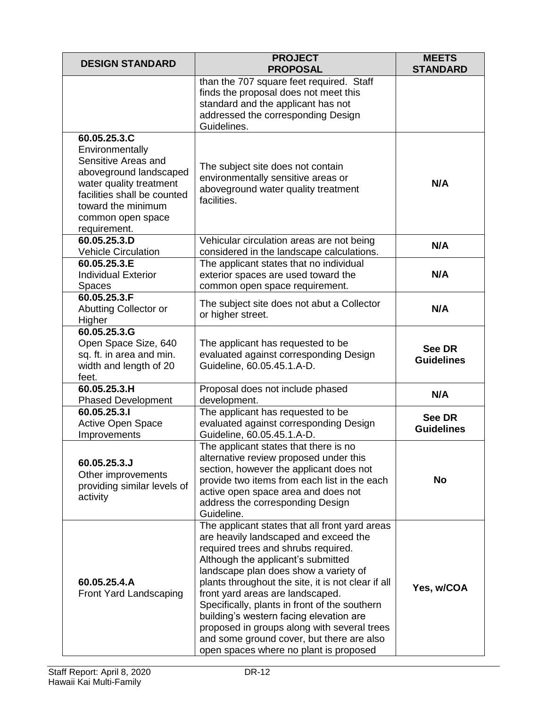| <b>DESIGN STANDARD</b>                                                                                                                                                                                | <b>PROJECT</b><br><b>PROPOSAL</b>                                                                                                                                                                                                                                                                                                                                                                                                                                                                                                         | <b>MEETS</b><br><b>STANDARD</b>    |
|-------------------------------------------------------------------------------------------------------------------------------------------------------------------------------------------------------|-------------------------------------------------------------------------------------------------------------------------------------------------------------------------------------------------------------------------------------------------------------------------------------------------------------------------------------------------------------------------------------------------------------------------------------------------------------------------------------------------------------------------------------------|------------------------------------|
|                                                                                                                                                                                                       | than the 707 square feet required. Staff<br>finds the proposal does not meet this<br>standard and the applicant has not<br>addressed the corresponding Design<br>Guidelines.                                                                                                                                                                                                                                                                                                                                                              |                                    |
| 60.05.25.3.C<br>Environmentally<br>Sensitive Areas and<br>aboveground landscaped<br>water quality treatment<br>facilities shall be counted<br>toward the minimum<br>common open space<br>requirement. | The subject site does not contain<br>environmentally sensitive areas or<br>aboveground water quality treatment<br>facilities.                                                                                                                                                                                                                                                                                                                                                                                                             | N/A                                |
| 60.05.25.3.D<br><b>Vehicle Circulation</b>                                                                                                                                                            | Vehicular circulation areas are not being<br>considered in the landscape calculations.                                                                                                                                                                                                                                                                                                                                                                                                                                                    | N/A                                |
| 60.05.25.3.E<br><b>Individual Exterior</b><br><b>Spaces</b>                                                                                                                                           | The applicant states that no individual<br>exterior spaces are used toward the<br>common open space requirement.                                                                                                                                                                                                                                                                                                                                                                                                                          | N/A                                |
| 60.05.25.3.F<br>Abutting Collector or<br>Higher                                                                                                                                                       | The subject site does not abut a Collector<br>or higher street.                                                                                                                                                                                                                                                                                                                                                                                                                                                                           | N/A                                |
| $60.05.\overline{25.3.G}$<br>Open Space Size, 640<br>sq. ft. in area and min.<br>width and length of 20<br>feet.                                                                                      | The applicant has requested to be<br>evaluated against corresponding Design<br>Guideline, 60.05.45.1.A-D.                                                                                                                                                                                                                                                                                                                                                                                                                                 | See DR<br><b>Guidelines</b>        |
| 60.05.25.3.H<br><b>Phased Development</b>                                                                                                                                                             | Proposal does not include phased<br>development.                                                                                                                                                                                                                                                                                                                                                                                                                                                                                          | N/A                                |
| 60.05.25.3.I<br><b>Active Open Space</b><br>Improvements                                                                                                                                              | The applicant has requested to be<br>evaluated against corresponding Design<br>Guideline, 60.05.45.1.A-D.                                                                                                                                                                                                                                                                                                                                                                                                                                 | <b>See DR</b><br><b>Guidelines</b> |
| 60.05.25.3.J<br>Other improvements<br>providing similar levels of<br>activity                                                                                                                         | The applicant states that there is no<br>alternative review proposed under this<br>section, however the applicant does not<br>provide two items from each list in the each<br>active open space area and does not<br>address the corresponding Design<br>Guideline.                                                                                                                                                                                                                                                                       | <b>No</b>                          |
| 60.05.25.4.A<br>Front Yard Landscaping                                                                                                                                                                | The applicant states that all front yard areas<br>are heavily landscaped and exceed the<br>required trees and shrubs required.<br>Although the applicant's submitted<br>landscape plan does show a variety of<br>plants throughout the site, it is not clear if all<br>front yard areas are landscaped.<br>Specifically, plants in front of the southern<br>building's western facing elevation are<br>proposed in groups along with several trees<br>and some ground cover, but there are also<br>open spaces where no plant is proposed | Yes, w/COA                         |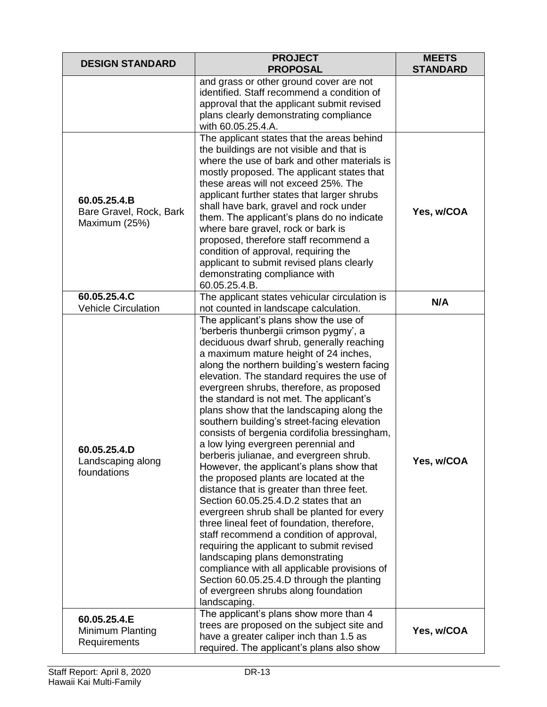| <b>DESIGN STANDARD</b>                                   | <b>PROJECT</b><br><b>PROPOSAL</b>                                                                                                                                                                                                                                                                                                                                                                                                                                                                                                                                                                                                                                                                                                                                                                                                                                                                                                                                                                                                                                                                                                                    | <b>MEETS</b><br><b>STANDARD</b> |
|----------------------------------------------------------|------------------------------------------------------------------------------------------------------------------------------------------------------------------------------------------------------------------------------------------------------------------------------------------------------------------------------------------------------------------------------------------------------------------------------------------------------------------------------------------------------------------------------------------------------------------------------------------------------------------------------------------------------------------------------------------------------------------------------------------------------------------------------------------------------------------------------------------------------------------------------------------------------------------------------------------------------------------------------------------------------------------------------------------------------------------------------------------------------------------------------------------------------|---------------------------------|
|                                                          | and grass or other ground cover are not<br>identified. Staff recommend a condition of<br>approval that the applicant submit revised<br>plans clearly demonstrating compliance<br>with 60.05.25.4.A.                                                                                                                                                                                                                                                                                                                                                                                                                                                                                                                                                                                                                                                                                                                                                                                                                                                                                                                                                  |                                 |
| 60.05.25.4.B<br>Bare Gravel, Rock, Bark<br>Maximum (25%) | The applicant states that the areas behind<br>the buildings are not visible and that is<br>where the use of bark and other materials is<br>mostly proposed. The applicant states that<br>these areas will not exceed 25%. The<br>applicant further states that larger shrubs<br>shall have bark, gravel and rock under<br>them. The applicant's plans do no indicate<br>where bare gravel, rock or bark is<br>proposed, therefore staff recommend a<br>condition of approval, requiring the<br>applicant to submit revised plans clearly<br>demonstrating compliance with<br>60.05.25.4.B.                                                                                                                                                                                                                                                                                                                                                                                                                                                                                                                                                           | Yes, w/COA                      |
| 60.05.25.4.C<br><b>Vehicle Circulation</b>               | The applicant states vehicular circulation is<br>not counted in landscape calculation.                                                                                                                                                                                                                                                                                                                                                                                                                                                                                                                                                                                                                                                                                                                                                                                                                                                                                                                                                                                                                                                               | N/A                             |
| 60.05.25.4.D<br>Landscaping along<br>foundations         | The applicant's plans show the use of<br>'berberis thunbergii crimson pygmy', a<br>deciduous dwarf shrub, generally reaching<br>a maximum mature height of 24 inches,<br>along the northern building's western facing<br>elevation. The standard requires the use of<br>evergreen shrubs, therefore, as proposed<br>the standard is not met. The applicant's<br>plans show that the landscaping along the<br>southern building's street-facing elevation<br>consists of bergenia cordifolia bressingham,<br>a low lying evergreen perennial and<br>berberis julianae, and evergreen shrub.<br>However, the applicant's plans show that<br>the proposed plants are located at the<br>distance that is greater than three feet.<br>Section 60.05.25.4.D.2 states that an<br>evergreen shrub shall be planted for every<br>three lineal feet of foundation, therefore,<br>staff recommend a condition of approval,<br>requiring the applicant to submit revised<br>landscaping plans demonstrating<br>compliance with all applicable provisions of<br>Section 60.05.25.4.D through the planting<br>of evergreen shrubs along foundation<br>landscaping. | Yes, w/COA                      |
| 60.05.25.4.E<br>Minimum Planting<br>Requirements         | The applicant's plans show more than 4<br>trees are proposed on the subject site and<br>have a greater caliper inch than 1.5 as<br>required. The applicant's plans also show                                                                                                                                                                                                                                                                                                                                                                                                                                                                                                                                                                                                                                                                                                                                                                                                                                                                                                                                                                         | Yes, w/COA                      |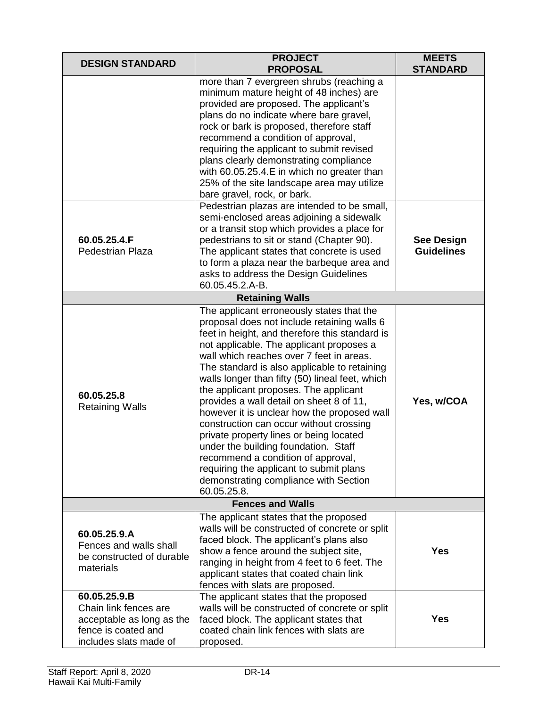| <b>DESIGN STANDARD</b>                                                                                              | <b>PROJECT</b><br><b>PROPOSAL</b>                                                                                                                                                                                                                                                                                                                                                                                                                                                                                                                                                                                                                                                                                                                | <b>MEETS</b><br><b>STANDARD</b>        |
|---------------------------------------------------------------------------------------------------------------------|--------------------------------------------------------------------------------------------------------------------------------------------------------------------------------------------------------------------------------------------------------------------------------------------------------------------------------------------------------------------------------------------------------------------------------------------------------------------------------------------------------------------------------------------------------------------------------------------------------------------------------------------------------------------------------------------------------------------------------------------------|----------------------------------------|
|                                                                                                                     | more than 7 evergreen shrubs (reaching a<br>minimum mature height of 48 inches) are<br>provided are proposed. The applicant's<br>plans do no indicate where bare gravel,<br>rock or bark is proposed, therefore staff<br>recommend a condition of approval,<br>requiring the applicant to submit revised<br>plans clearly demonstrating compliance<br>with 60.05.25.4.E in which no greater than<br>25% of the site landscape area may utilize<br>bare gravel, rock, or bark.                                                                                                                                                                                                                                                                    |                                        |
| 60.05.25.4.F<br><b>Pedestrian Plaza</b>                                                                             | Pedestrian plazas are intended to be small,<br>semi-enclosed areas adjoining a sidewalk<br>or a transit stop which provides a place for<br>pedestrians to sit or stand (Chapter 90).<br>The applicant states that concrete is used<br>to form a plaza near the barbeque area and<br>asks to address the Design Guidelines<br>60.05.45.2.A-B.                                                                                                                                                                                                                                                                                                                                                                                                     | <b>See Design</b><br><b>Guidelines</b> |
|                                                                                                                     | <b>Retaining Walls</b>                                                                                                                                                                                                                                                                                                                                                                                                                                                                                                                                                                                                                                                                                                                           |                                        |
| 60.05.25.8<br><b>Retaining Walls</b>                                                                                | The applicant erroneously states that the<br>proposal does not include retaining walls 6<br>feet in height, and therefore this standard is<br>not applicable. The applicant proposes a<br>wall which reaches over 7 feet in areas.<br>The standard is also applicable to retaining<br>walls longer than fifty (50) lineal feet, which<br>the applicant proposes. The applicant<br>provides a wall detail on sheet 8 of 11,<br>however it is unclear how the proposed wall<br>construction can occur without crossing<br>private property lines or being located<br>under the building foundation. Staff<br>recommend a condition of approval,<br>requiring the applicant to submit plans<br>demonstrating compliance with Section<br>60.05.25.8. | Yes, w/COA                             |
|                                                                                                                     | <b>Fences and Walls</b>                                                                                                                                                                                                                                                                                                                                                                                                                                                                                                                                                                                                                                                                                                                          |                                        |
| 60.05.25.9.A<br>Fences and walls shall<br>be constructed of durable<br>materials                                    | The applicant states that the proposed<br>walls will be constructed of concrete or split<br>faced block. The applicant's plans also<br>show a fence around the subject site,<br>ranging in height from 4 feet to 6 feet. The<br>applicant states that coated chain link<br>fences with slats are proposed.                                                                                                                                                                                                                                                                                                                                                                                                                                       | <b>Yes</b>                             |
| 60.05.25.9.B<br>Chain link fences are<br>acceptable as long as the<br>fence is coated and<br>includes slats made of | The applicant states that the proposed<br>walls will be constructed of concrete or split<br>faced block. The applicant states that<br>coated chain link fences with slats are<br>proposed.                                                                                                                                                                                                                                                                                                                                                                                                                                                                                                                                                       | Yes                                    |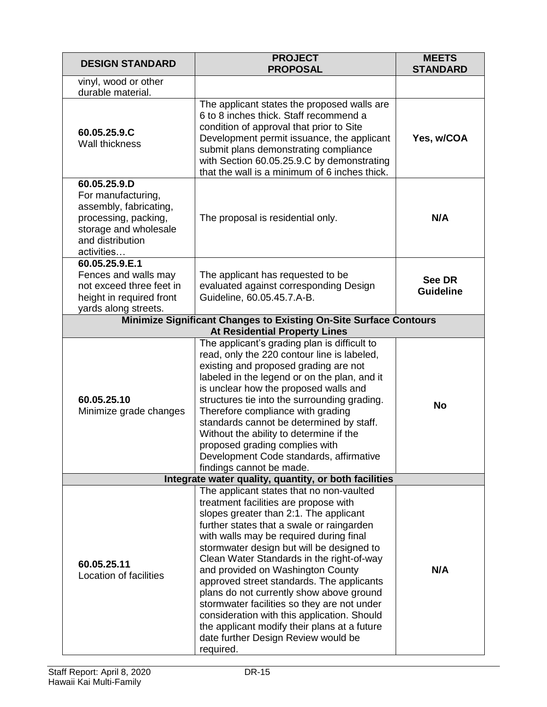| <b>DESIGN STANDARD</b>                                                                                                                          | <b>PROJECT</b><br><b>PROPOSAL</b>                                                                                                                                                                                                                                                                                                                                                                                                                                                                                                                                                                                                             | <b>MEETS</b><br><b>STANDARD</b> |
|-------------------------------------------------------------------------------------------------------------------------------------------------|-----------------------------------------------------------------------------------------------------------------------------------------------------------------------------------------------------------------------------------------------------------------------------------------------------------------------------------------------------------------------------------------------------------------------------------------------------------------------------------------------------------------------------------------------------------------------------------------------------------------------------------------------|---------------------------------|
| vinyl, wood or other<br>durable material.                                                                                                       |                                                                                                                                                                                                                                                                                                                                                                                                                                                                                                                                                                                                                                               |                                 |
| 60.05.25.9.C<br>Wall thickness                                                                                                                  | The applicant states the proposed walls are<br>6 to 8 inches thick. Staff recommend a<br>condition of approval that prior to Site<br>Development permit issuance, the applicant<br>submit plans demonstrating compliance<br>with Section 60.05.25.9.C by demonstrating<br>that the wall is a minimum of 6 inches thick.                                                                                                                                                                                                                                                                                                                       | Yes, w/COA                      |
| 60.05.25.9.D<br>For manufacturing,<br>assembly, fabricating,<br>processing, packing,<br>storage and wholesale<br>and distribution<br>activities | The proposal is residential only.                                                                                                                                                                                                                                                                                                                                                                                                                                                                                                                                                                                                             | N/A                             |
| 60.05.25.9.E.1<br>Fences and walls may<br>not exceed three feet in<br>height in required front<br>yards along streets.                          | The applicant has requested to be<br>evaluated against corresponding Design<br>Guideline, 60.05.45.7.A-B.                                                                                                                                                                                                                                                                                                                                                                                                                                                                                                                                     | See DR<br><b>Guideline</b>      |
|                                                                                                                                                 | <b>Minimize Significant Changes to Existing On-Site Surface Contours</b><br><b>At Residential Property Lines</b>                                                                                                                                                                                                                                                                                                                                                                                                                                                                                                                              |                                 |
| 60.05.25.10<br>Minimize grade changes                                                                                                           | The applicant's grading plan is difficult to<br>read, only the 220 contour line is labeled,<br>existing and proposed grading are not<br>labeled in the legend or on the plan, and it<br>is unclear how the proposed walls and<br>structures tie into the surrounding grading.<br>Therefore compliance with grading<br>standards cannot be determined by staff.<br>Without the ability to determine if the<br>proposed grading complies with<br>Development Code standards, affirmative<br>findings cannot be made.                                                                                                                            | <b>No</b>                       |
|                                                                                                                                                 | Integrate water quality, quantity, or both facilities                                                                                                                                                                                                                                                                                                                                                                                                                                                                                                                                                                                         |                                 |
| 60.05.25.11<br>Location of facilities                                                                                                           | The applicant states that no non-vaulted<br>treatment facilities are propose with<br>slopes greater than 2:1. The applicant<br>further states that a swale or raingarden<br>with walls may be required during final<br>stormwater design but will be designed to<br>Clean Water Standards in the right-of-way<br>and provided on Washington County<br>approved street standards. The applicants<br>plans do not currently show above ground<br>stormwater facilities so they are not under<br>consideration with this application. Should<br>the applicant modify their plans at a future<br>date further Design Review would be<br>required. | N/A                             |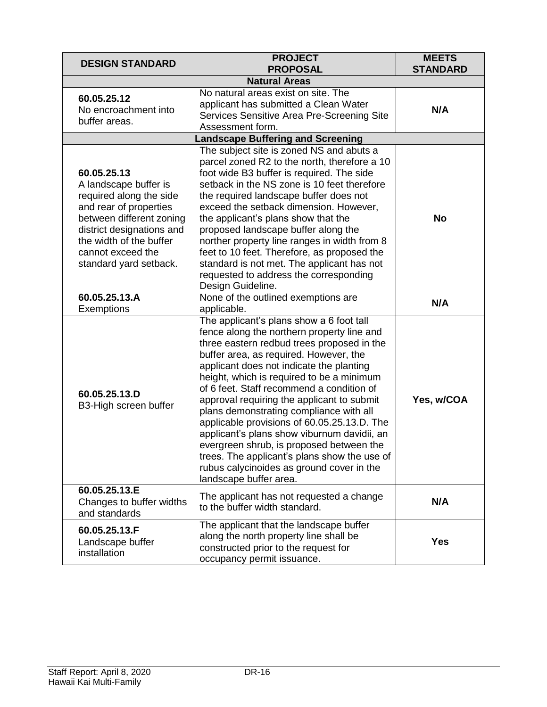| <b>DESIGN STANDARD</b>                                                                                                                                                                                                       | <b>PROJECT</b><br><b>PROPOSAL</b>                                                                                                                                                                                                                                                                                                                                                                                                                                                                                                                                                                                                                                              | <b>MEETS</b><br><b>STANDARD</b> |
|------------------------------------------------------------------------------------------------------------------------------------------------------------------------------------------------------------------------------|--------------------------------------------------------------------------------------------------------------------------------------------------------------------------------------------------------------------------------------------------------------------------------------------------------------------------------------------------------------------------------------------------------------------------------------------------------------------------------------------------------------------------------------------------------------------------------------------------------------------------------------------------------------------------------|---------------------------------|
| <b>Natural Areas</b>                                                                                                                                                                                                         |                                                                                                                                                                                                                                                                                                                                                                                                                                                                                                                                                                                                                                                                                |                                 |
| 60.05.25.12<br>No encroachment into<br>buffer areas.                                                                                                                                                                         | No natural areas exist on site. The<br>applicant has submitted a Clean Water<br>Services Sensitive Area Pre-Screening Site<br>Assessment form.                                                                                                                                                                                                                                                                                                                                                                                                                                                                                                                                 | N/A                             |
|                                                                                                                                                                                                                              | <b>Landscape Buffering and Screening</b>                                                                                                                                                                                                                                                                                                                                                                                                                                                                                                                                                                                                                                       |                                 |
| 60.05.25.13<br>A landscape buffer is<br>required along the side<br>and rear of properties<br>between different zoning<br>district designations and<br>the width of the buffer<br>cannot exceed the<br>standard yard setback. | The subject site is zoned NS and abuts a<br>parcel zoned R2 to the north, therefore a 10<br>foot wide B3 buffer is required. The side<br>setback in the NS zone is 10 feet therefore<br>the required landscape buffer does not<br>exceed the setback dimension. However,<br>the applicant's plans show that the<br>proposed landscape buffer along the<br>norther property line ranges in width from 8<br>feet to 10 feet. Therefore, as proposed the<br>standard is not met. The applicant has not<br>requested to address the corresponding<br>Design Guideline.                                                                                                             | <b>No</b>                       |
| 60.05.25.13.A<br>Exemptions                                                                                                                                                                                                  | None of the outlined exemptions are<br>applicable.                                                                                                                                                                                                                                                                                                                                                                                                                                                                                                                                                                                                                             | N/A                             |
| 60.05.25.13.D<br>B3-High screen buffer                                                                                                                                                                                       | The applicant's plans show a 6 foot tall<br>fence along the northern property line and<br>three eastern redbud trees proposed in the<br>buffer area, as required. However, the<br>applicant does not indicate the planting<br>height, which is required to be a minimum<br>of 6 feet. Staff recommend a condition of<br>approval requiring the applicant to submit<br>plans demonstrating compliance with all<br>applicable provisions of 60.05.25.13.D. The<br>applicant's plans show viburnum davidii, an<br>evergreen shrub, is proposed between the<br>trees. The applicant's plans show the use of<br>rubus calycinoides as ground cover in the<br>landscape buffer area. | Yes, w/COA                      |
| 60.05.25.13.E<br>Changes to buffer widths<br>and standards                                                                                                                                                                   | The applicant has not requested a change<br>to the buffer width standard.                                                                                                                                                                                                                                                                                                                                                                                                                                                                                                                                                                                                      | N/A                             |
| 60.05.25.13.F<br>Landscape buffer<br>installation                                                                                                                                                                            | The applicant that the landscape buffer<br>along the north property line shall be<br>constructed prior to the request for<br>occupancy permit issuance.                                                                                                                                                                                                                                                                                                                                                                                                                                                                                                                        | <b>Yes</b>                      |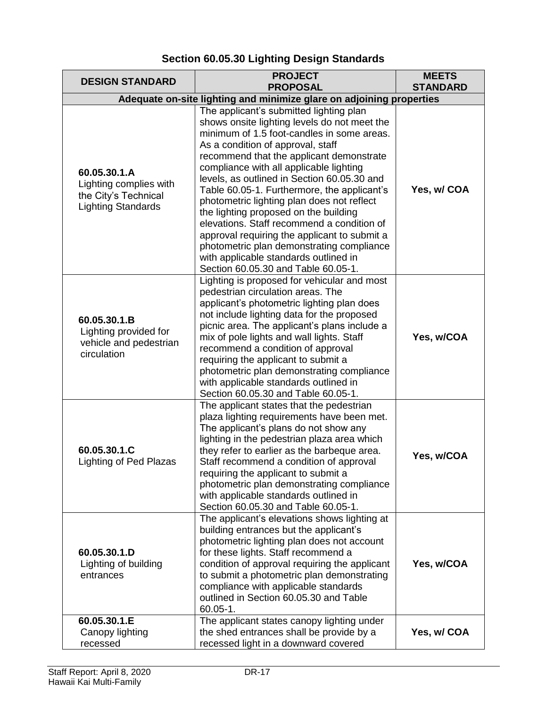| <b>DESIGN STANDARD</b>                                                                      | <b>PROJECT</b>                                                                                                                                                                                                                                                                                                                                                                                                                                                                                                                                                                                                                                                                    | <b>MEETS</b>    |
|---------------------------------------------------------------------------------------------|-----------------------------------------------------------------------------------------------------------------------------------------------------------------------------------------------------------------------------------------------------------------------------------------------------------------------------------------------------------------------------------------------------------------------------------------------------------------------------------------------------------------------------------------------------------------------------------------------------------------------------------------------------------------------------------|-----------------|
|                                                                                             | <b>PROPOSAL</b>                                                                                                                                                                                                                                                                                                                                                                                                                                                                                                                                                                                                                                                                   | <b>STANDARD</b> |
| Adequate on-site lighting and minimize glare on adjoining properties                        |                                                                                                                                                                                                                                                                                                                                                                                                                                                                                                                                                                                                                                                                                   |                 |
| 60.05.30.1.A<br>Lighting complies with<br>the City's Technical<br><b>Lighting Standards</b> | The applicant's submitted lighting plan<br>shows onsite lighting levels do not meet the<br>minimum of 1.5 foot-candles in some areas.<br>As a condition of approval, staff<br>recommend that the applicant demonstrate<br>compliance with all applicable lighting<br>levels, as outlined in Section 60.05.30 and<br>Table 60.05-1. Furthermore, the applicant's<br>photometric lighting plan does not reflect<br>the lighting proposed on the building<br>elevations. Staff recommend a condition of<br>approval requiring the applicant to submit a<br>photometric plan demonstrating compliance<br>with applicable standards outlined in<br>Section 60.05.30 and Table 60.05-1. | Yes, w/ COA     |
| 60.05.30.1.B<br>Lighting provided for<br>vehicle and pedestrian<br>circulation              | Lighting is proposed for vehicular and most<br>pedestrian circulation areas. The<br>applicant's photometric lighting plan does<br>not include lighting data for the proposed<br>picnic area. The applicant's plans include a<br>mix of pole lights and wall lights. Staff<br>recommend a condition of approval<br>requiring the applicant to submit a<br>photometric plan demonstrating compliance<br>with applicable standards outlined in<br>Section 60.05.30 and Table 60.05-1.                                                                                                                                                                                                | Yes, w/COA      |
| 60.05.30.1.C<br>Lighting of Ped Plazas                                                      | The applicant states that the pedestrian<br>plaza lighting requirements have been met.<br>The applicant's plans do not show any<br>lighting in the pedestrian plaza area which<br>they refer to earlier as the barbeque area.<br>Staff recommend a condition of approval<br>requiring the applicant to submit a<br>photometric plan demonstrating compliance<br>with applicable standards outlined in<br>Section 60.05.30 and Table 60.05-1.                                                                                                                                                                                                                                      | Yes, w/COA      |
| 60.05.30.1.D<br>Lighting of building<br>entrances                                           | The applicant's elevations shows lighting at<br>building entrances but the applicant's<br>photometric lighting plan does not account<br>for these lights. Staff recommend a<br>condition of approval requiring the applicant<br>to submit a photometric plan demonstrating<br>compliance with applicable standards<br>outlined in Section 60.05.30 and Table<br>$60.05 - 1.$                                                                                                                                                                                                                                                                                                      | Yes, w/COA      |
| 60.05.30.1.E<br>Canopy lighting<br>recessed                                                 | The applicant states canopy lighting under<br>the shed entrances shall be provide by a<br>recessed light in a downward covered                                                                                                                                                                                                                                                                                                                                                                                                                                                                                                                                                    | Yes, w/ COA     |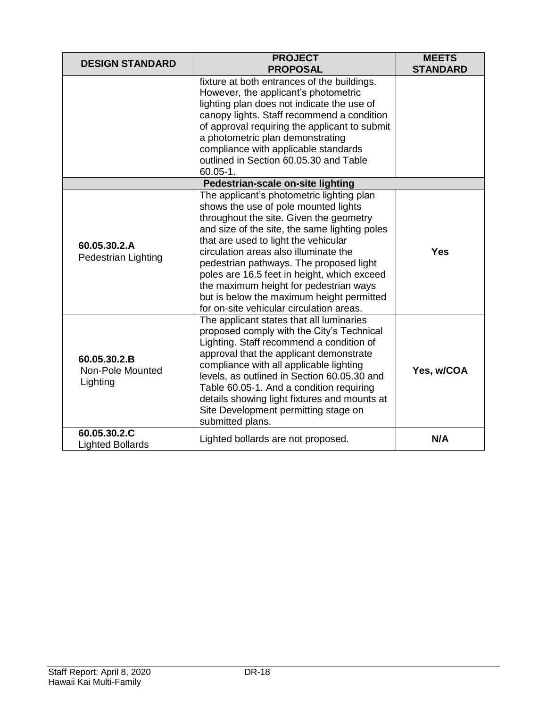| <b>DESIGN STANDARD</b>                       | <b>PROJECT</b><br><b>PROPOSAL</b>                                                                                                                                                                                                                                                                                                                                                                                                                                                           | <b>MEETS</b><br><b>STANDARD</b> |  |  |
|----------------------------------------------|---------------------------------------------------------------------------------------------------------------------------------------------------------------------------------------------------------------------------------------------------------------------------------------------------------------------------------------------------------------------------------------------------------------------------------------------------------------------------------------------|---------------------------------|--|--|
|                                              | fixture at both entrances of the buildings.<br>However, the applicant's photometric<br>lighting plan does not indicate the use of<br>canopy lights. Staff recommend a condition<br>of approval requiring the applicant to submit<br>a photometric plan demonstrating<br>compliance with applicable standards<br>outlined in Section 60.05.30 and Table<br>$60.05 - 1.$                                                                                                                      |                                 |  |  |
| Pedestrian-scale on-site lighting            |                                                                                                                                                                                                                                                                                                                                                                                                                                                                                             |                                 |  |  |
| 60.05.30.2.A<br><b>Pedestrian Lighting</b>   | The applicant's photometric lighting plan<br>shows the use of pole mounted lights<br>throughout the site. Given the geometry<br>and size of the site, the same lighting poles<br>that are used to light the vehicular<br>circulation areas also illuminate the<br>pedestrian pathways. The proposed light<br>poles are 16.5 feet in height, which exceed<br>the maximum height for pedestrian ways<br>but is below the maximum height permitted<br>for on-site vehicular circulation areas. | <b>Yes</b>                      |  |  |
| 60.05.30.2.B<br>Non-Pole Mounted<br>Lighting | The applicant states that all luminaries<br>proposed comply with the City's Technical<br>Lighting. Staff recommend a condition of<br>approval that the applicant demonstrate<br>compliance with all applicable lighting<br>levels, as outlined in Section 60.05.30 and<br>Table 60.05-1. And a condition requiring<br>details showing light fixtures and mounts at<br>Site Development permitting stage on<br>submitted plans.                                                              | Yes, w/COA                      |  |  |
| 60.05.30.2.C<br><b>Lighted Bollards</b>      | Lighted bollards are not proposed.                                                                                                                                                                                                                                                                                                                                                                                                                                                          | N/A                             |  |  |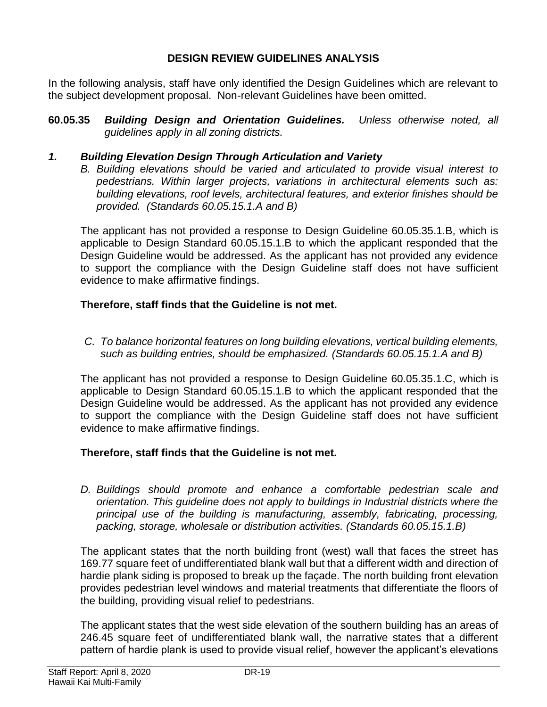## **DESIGN REVIEW GUIDELINES ANALYSIS**

In the following analysis, staff have only identified the Design Guidelines which are relevant to the subject development proposal. Non-relevant Guidelines have been omitted.

**60.05.35** *Building Design and Orientation Guidelines. Unless otherwise noted, all guidelines apply in all zoning districts.*

#### *1. Building Elevation Design Through Articulation and Variety*

*B. Building elevations should be varied and articulated to provide visual interest to pedestrians. Within larger projects, variations in architectural elements such as: building elevations, roof levels, architectural features, and exterior finishes should be provided. (Standards 60.05.15.1.A and B)*

The applicant has not provided a response to Design Guideline 60.05.35.1.B, which is applicable to Design Standard 60.05.15.1.B to which the applicant responded that the Design Guideline would be addressed. As the applicant has not provided any evidence to support the compliance with the Design Guideline staff does not have sufficient evidence to make affirmative findings.

#### **Therefore, staff finds that the Guideline is not met.**

*C. To balance horizontal features on long building elevations, vertical building elements, such as building entries, should be emphasized. (Standards 60.05.15.1.A and B)*

The applicant has not provided a response to Design Guideline 60.05.35.1.C, which is applicable to Design Standard 60.05.15.1.B to which the applicant responded that the Design Guideline would be addressed. As the applicant has not provided any evidence to support the compliance with the Design Guideline staff does not have sufficient evidence to make affirmative findings.

#### **Therefore, staff finds that the Guideline is not met.**

*D. Buildings should promote and enhance a comfortable pedestrian scale and orientation. This guideline does not apply to buildings in Industrial districts where the principal use of the building is manufacturing, assembly, fabricating, processing, packing, storage, wholesale or distribution activities. (Standards 60.05.15.1.B)*

The applicant states that the north building front (west) wall that faces the street has 169.77 square feet of undifferentiated blank wall but that a different width and direction of hardie plank siding is proposed to break up the façade. The north building front elevation provides pedestrian level windows and material treatments that differentiate the floors of the building, providing visual relief to pedestrians.

The applicant states that the west side elevation of the southern building has an areas of 246.45 square feet of undifferentiated blank wall, the narrative states that a different pattern of hardie plank is used to provide visual relief, however the applicant's elevations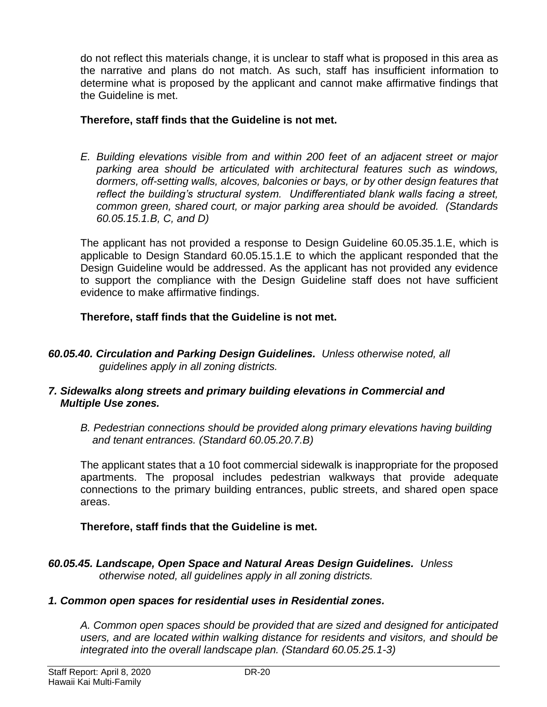do not reflect this materials change, it is unclear to staff what is proposed in this area as the narrative and plans do not match. As such, staff has insufficient information to determine what is proposed by the applicant and cannot make affirmative findings that the Guideline is met.

## **Therefore, staff finds that the Guideline is not met.**

*E. Building elevations visible from and within 200 feet of an adjacent street or major parking area should be articulated with architectural features such as windows, dormers, off-setting walls, alcoves, balconies or bays, or by other design features that reflect the building's structural system. Undifferentiated blank walls facing a street, common green, shared court, or major parking area should be avoided. (Standards 60.05.15.1.B, C, and D)*

The applicant has not provided a response to Design Guideline 60.05.35.1.E, which is applicable to Design Standard 60.05.15.1.E to which the applicant responded that the Design Guideline would be addressed. As the applicant has not provided any evidence to support the compliance with the Design Guideline staff does not have sufficient evidence to make affirmative findings.

## **Therefore, staff finds that the Guideline is not met.**

*60.05.40. Circulation and Parking Design Guidelines. Unless otherwise noted, all guidelines apply in all zoning districts.*

#### *7. Sidewalks along streets and primary building elevations in Commercial and Multiple Use zones.*

*B. Pedestrian connections should be provided along primary elevations having building and tenant entrances. (Standard 60.05.20.7.B)* 

The applicant states that a 10 foot commercial sidewalk is inappropriate for the proposed apartments. The proposal includes pedestrian walkways that provide adequate connections to the primary building entrances, public streets, and shared open space areas.

## **Therefore, staff finds that the Guideline is met.**

*60.05.45. Landscape, Open Space and Natural Areas Design Guidelines. Unless otherwise noted, all guidelines apply in all zoning districts.*

## *1. Common open spaces for residential uses in Residential zones.*

*A. Common open spaces should be provided that are sized and designed for anticipated users, and are located within walking distance for residents and visitors, and should be integrated into the overall landscape plan. (Standard 60.05.25.1-3)*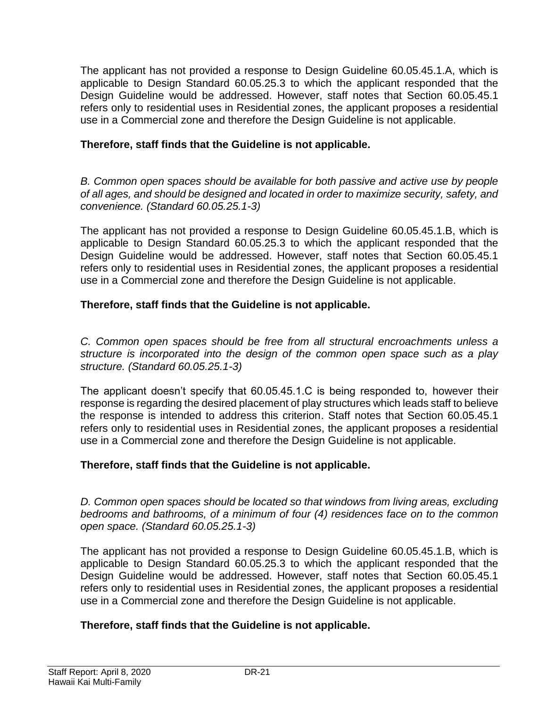The applicant has not provided a response to Design Guideline 60.05.45.1.A, which is applicable to Design Standard 60.05.25.3 to which the applicant responded that the Design Guideline would be addressed. However, staff notes that Section 60.05.45.1 refers only to residential uses in Residential zones, the applicant proposes a residential use in a Commercial zone and therefore the Design Guideline is not applicable.

## **Therefore, staff finds that the Guideline is not applicable.**

*B. Common open spaces should be available for both passive and active use by people of all ages, and should be designed and located in order to maximize security, safety, and convenience. (Standard 60.05.25.1-3)*

The applicant has not provided a response to Design Guideline 60.05.45.1.B, which is applicable to Design Standard 60.05.25.3 to which the applicant responded that the Design Guideline would be addressed. However, staff notes that Section 60.05.45.1 refers only to residential uses in Residential zones, the applicant proposes a residential use in a Commercial zone and therefore the Design Guideline is not applicable.

## **Therefore, staff finds that the Guideline is not applicable.**

*C. Common open spaces should be free from all structural encroachments unless a structure is incorporated into the design of the common open space such as a play structure. (Standard 60.05.25.1-3)*

The applicant doesn't specify that 60.05.45.1.C is being responded to, however their response is regarding the desired placement of play structures which leads staff to believe the response is intended to address this criterion. Staff notes that Section 60.05.45.1 refers only to residential uses in Residential zones, the applicant proposes a residential use in a Commercial zone and therefore the Design Guideline is not applicable.

#### **Therefore, staff finds that the Guideline is not applicable.**

*D. Common open spaces should be located so that windows from living areas, excluding bedrooms and bathrooms, of a minimum of four (4) residences face on to the common open space. (Standard 60.05.25.1-3)*

The applicant has not provided a response to Design Guideline 60.05.45.1.B, which is applicable to Design Standard 60.05.25.3 to which the applicant responded that the Design Guideline would be addressed. However, staff notes that Section 60.05.45.1 refers only to residential uses in Residential zones, the applicant proposes a residential use in a Commercial zone and therefore the Design Guideline is not applicable.

#### **Therefore, staff finds that the Guideline is not applicable.**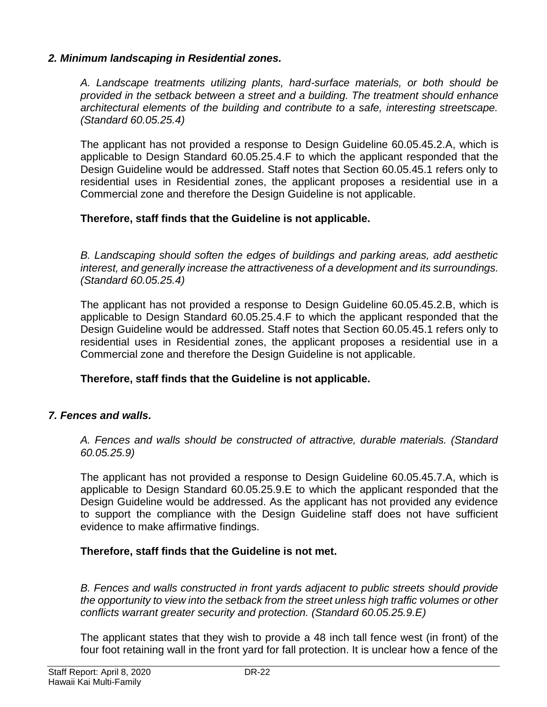#### *2. Minimum landscaping in Residential zones.*

*A. Landscape treatments utilizing plants, hard-surface materials, or both should be provided in the setback between a street and a building. The treatment should enhance architectural elements of the building and contribute to a safe, interesting streetscape. (Standard 60.05.25.4)*

The applicant has not provided a response to Design Guideline 60.05.45.2.A, which is applicable to Design Standard 60.05.25.4.F to which the applicant responded that the Design Guideline would be addressed. Staff notes that Section 60.05.45.1 refers only to residential uses in Residential zones, the applicant proposes a residential use in a Commercial zone and therefore the Design Guideline is not applicable.

#### **Therefore, staff finds that the Guideline is not applicable.**

*B. Landscaping should soften the edges of buildings and parking areas, add aesthetic interest, and generally increase the attractiveness of a development and its surroundings. (Standard 60.05.25.4)*

The applicant has not provided a response to Design Guideline 60.05.45.2.B, which is applicable to Design Standard 60.05.25.4.F to which the applicant responded that the Design Guideline would be addressed. Staff notes that Section 60.05.45.1 refers only to residential uses in Residential zones, the applicant proposes a residential use in a Commercial zone and therefore the Design Guideline is not applicable.

#### **Therefore, staff finds that the Guideline is not applicable.**

#### *7. Fences and walls.*

*A. Fences and walls should be constructed of attractive, durable materials. (Standard 60.05.25.9)*

The applicant has not provided a response to Design Guideline 60.05.45.7.A, which is applicable to Design Standard 60.05.25.9.E to which the applicant responded that the Design Guideline would be addressed. As the applicant has not provided any evidence to support the compliance with the Design Guideline staff does not have sufficient evidence to make affirmative findings.

#### **Therefore, staff finds that the Guideline is not met.**

*B. Fences and walls constructed in front yards adjacent to public streets should provide the opportunity to view into the setback from the street unless high traffic volumes or other conflicts warrant greater security and protection. (Standard 60.05.25.9.E)*

The applicant states that they wish to provide a 48 inch tall fence west (in front) of the four foot retaining wall in the front yard for fall protection. It is unclear how a fence of the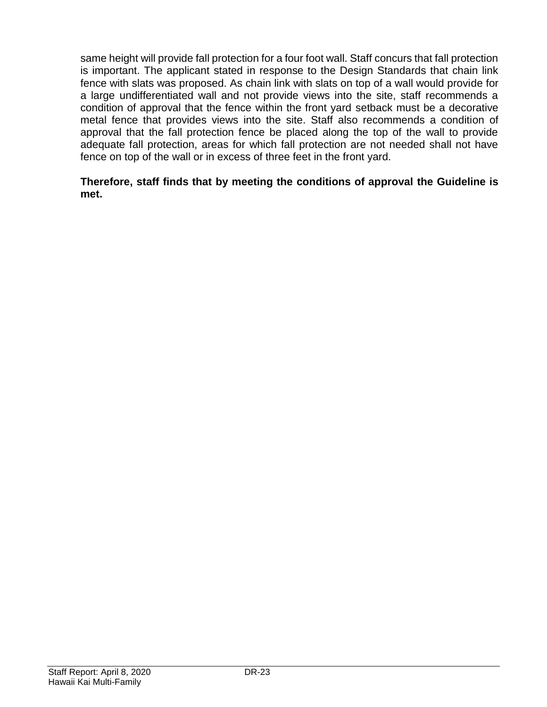same height will provide fall protection for a four foot wall. Staff concurs that fall protection is important. The applicant stated in response to the Design Standards that chain link fence with slats was proposed. As chain link with slats on top of a wall would provide for a large undifferentiated wall and not provide views into the site, staff recommends a condition of approval that the fence within the front yard setback must be a decorative metal fence that provides views into the site. Staff also recommends a condition of approval that the fall protection fence be placed along the top of the wall to provide adequate fall protection, areas for which fall protection are not needed shall not have fence on top of the wall or in excess of three feet in the front yard.

#### **Therefore, staff finds that by meeting the conditions of approval the Guideline is met.**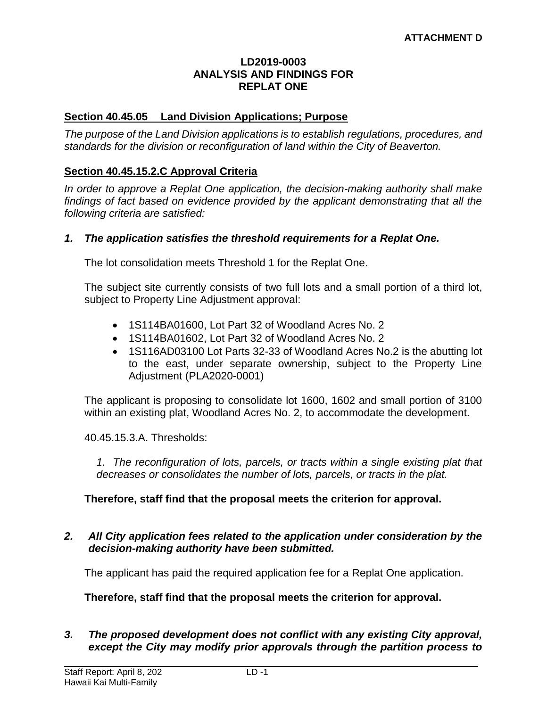#### **LD2019-0003 ANALYSIS AND FINDINGS FOR REPLAT ONE**

#### **Section 40.45.05 Land Division Applications; Purpose**

*The purpose of the Land Division applications is to establish regulations, procedures, and standards for the division or reconfiguration of land within the City of Beaverton.* 

#### **Section 40.45.15.2.C Approval Criteria**

*In order to approve a Replat One application, the decision-making authority shall make findings of fact based on evidence provided by the applicant demonstrating that all the following criteria are satisfied:*

#### *1. The application satisfies the threshold requirements for a Replat One.*

The lot consolidation meets Threshold 1 for the Replat One.

The subject site currently consists of two full lots and a small portion of a third lot, subject to Property Line Adjustment approval:

- 1S114BA01600, Lot Part 32 of Woodland Acres No. 2
- 1S114BA01602, Lot Part 32 of Woodland Acres No. 2
- 1S116AD03100 Lot Parts 32-33 of Woodland Acres No.2 is the abutting lot to the east, under separate ownership, subject to the Property Line Adjustment (PLA2020-0001)

The applicant is proposing to consolidate lot 1600, 1602 and small portion of 3100 within an existing plat, Woodland Acres No. 2, to accommodate the development.

40.45.15.3.A. Thresholds:

*1. The reconfiguration of lots, parcels, or tracts within a single existing plat that decreases or consolidates the number of lots, parcels, or tracts in the plat.*

#### **Therefore, staff find that the proposal meets the criterion for approval.**

#### *2. All City application fees related to the application under consideration by the decision-making authority have been submitted.*

The applicant has paid the required application fee for a Replat One application.

#### **Therefore, staff find that the proposal meets the criterion for approval.**

*3. The proposed development does not conflict with any existing City approval, except the City may modify prior approvals through the partition process to*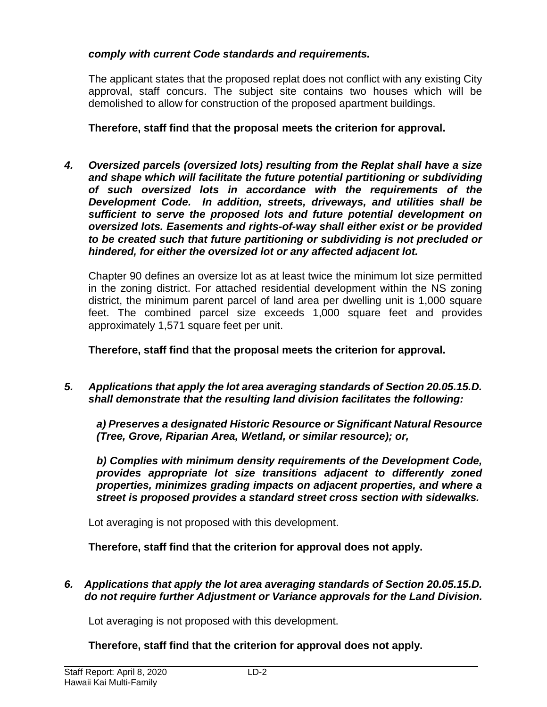## *comply with current Code standards and requirements.*

The applicant states that the proposed replat does not conflict with any existing City approval, staff concurs. The subject site contains two houses which will be demolished to allow for construction of the proposed apartment buildings.

**Therefore, staff find that the proposal meets the criterion for approval.**

*4. Oversized parcels (oversized lots) resulting from the Replat shall have a size and shape which will facilitate the future potential partitioning or subdividing of such oversized lots in accordance with the requirements of the Development Code. In addition, streets, driveways, and utilities shall be sufficient to serve the proposed lots and future potential development on oversized lots. Easements and rights-of-way shall either exist or be provided to be created such that future partitioning or subdividing is not precluded or hindered, for either the oversized lot or any affected adjacent lot.*

Chapter 90 defines an oversize lot as at least twice the minimum lot size permitted in the zoning district. For attached residential development within the NS zoning district, the minimum parent parcel of land area per dwelling unit is 1,000 square feet. The combined parcel size exceeds 1,000 square feet and provides approximately 1,571 square feet per unit.

**Therefore, staff find that the proposal meets the criterion for approval.**

*5. Applications that apply the lot area averaging standards of Section 20.05.15.D. shall demonstrate that the resulting land division facilitates the following:* 

*a) Preserves a designated Historic Resource or Significant Natural Resource (Tree, Grove, Riparian Area, Wetland, or similar resource); or,* 

*b) Complies with minimum density requirements of the Development Code, provides appropriate lot size transitions adjacent to differently zoned properties, minimizes grading impacts on adjacent properties, and where a street is proposed provides a standard street cross section with sidewalks.*

Lot averaging is not proposed with this development.

**Therefore, staff find that the criterion for approval does not apply.**

*6. Applications that apply the lot area averaging standards of Section 20.05.15.D. do not require further Adjustment or Variance approvals for the Land Division.*

Lot averaging is not proposed with this development.

**Therefore, staff find that the criterion for approval does not apply.**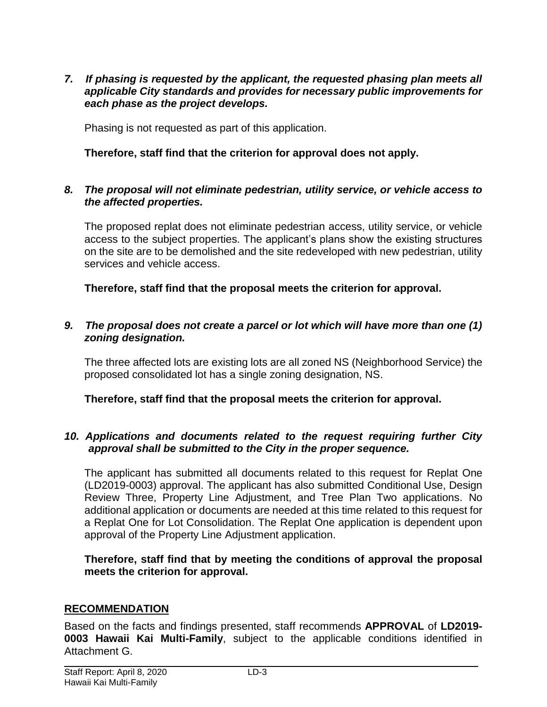*7. If phasing is requested by the applicant, the requested phasing plan meets all applicable City standards and provides for necessary public improvements for each phase as the project develops.* 

Phasing is not requested as part of this application.

#### **Therefore, staff find that the criterion for approval does not apply.**

#### *8. The proposal will not eliminate pedestrian, utility service, or vehicle access to the affected properties.*

The proposed replat does not eliminate pedestrian access, utility service, or vehicle access to the subject properties. The applicant's plans show the existing structures on the site are to be demolished and the site redeveloped with new pedestrian, utility services and vehicle access.

**Therefore, staff find that the proposal meets the criterion for approval.**

#### *9. The proposal does not create a parcel or lot which will have more than one (1) zoning designation.*

The three affected lots are existing lots are all zoned NS (Neighborhood Service) the proposed consolidated lot has a single zoning designation, NS.

**Therefore, staff find that the proposal meets the criterion for approval.**

#### *10. Applications and documents related to the request requiring further City approval shall be submitted to the City in the proper sequence.*

The applicant has submitted all documents related to this request for Replat One (LD2019-0003) approval. The applicant has also submitted Conditional Use, Design Review Three, Property Line Adjustment, and Tree Plan Two applications. No additional application or documents are needed at this time related to this request for a Replat One for Lot Consolidation. The Replat One application is dependent upon approval of the Property Line Adjustment application.

**Therefore, staff find that by meeting the conditions of approval the proposal meets the criterion for approval.**

#### **RECOMMENDATION**

Based on the facts and findings presented, staff recommends **APPROVAL** of **LD2019- 0003 Hawaii Kai Multi-Family**, subject to the applicable conditions identified in Attachment G.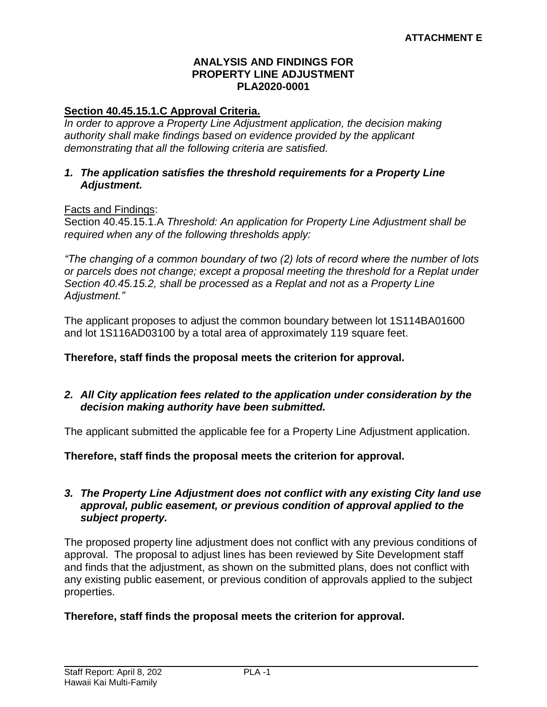#### **ANALYSIS AND FINDINGS FOR PROPERTY LINE ADJUSTMENT PLA2020-0001**

#### **Section 40.45.15.1.C Approval Criteria.**

*In order to approve a Property Line Adjustment application, the decision making authority shall make findings based on evidence provided by the applicant demonstrating that all the following criteria are satisfied.*

#### *1. The application satisfies the threshold requirements for a Property Line Adjustment.*

#### Facts and Findings:

Section 40.45.15.1.A *Threshold: An application for Property Line Adjustment shall be required when any of the following thresholds apply:*

*"The changing of a common boundary of two (2) lots of record where the number of lots or parcels does not change; except a proposal meeting the threshold for a Replat under Section 40.45.15.2, shall be processed as a Replat and not as a Property Line Adjustment."*

The applicant proposes to adjust the common boundary between lot 1S114BA01600 and lot 1S116AD03100 by a total area of approximately 119 square feet.

#### **Therefore, staff finds the proposal meets the criterion for approval.**

#### *2. All City application fees related to the application under consideration by the decision making authority have been submitted.*

The applicant submitted the applicable fee for a Property Line Adjustment application.

**Therefore, staff finds the proposal meets the criterion for approval.**

#### *3. The Property Line Adjustment does not conflict with any existing City land use approval, public easement, or previous condition of approval applied to the subject property.*

The proposed property line adjustment does not conflict with any previous conditions of approval. The proposal to adjust lines has been reviewed by Site Development staff and finds that the adjustment, as shown on the submitted plans, does not conflict with any existing public easement, or previous condition of approvals applied to the subject properties.

#### **Therefore, staff finds the proposal meets the criterion for approval.**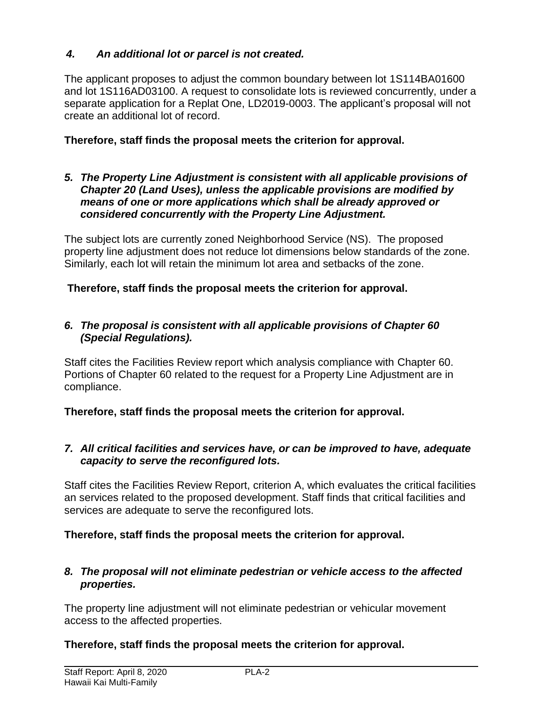## *4. An additional lot or parcel is not created.*

The applicant proposes to adjust the common boundary between lot 1S114BA01600 and lot 1S116AD03100. A request to consolidate lots is reviewed concurrently, under a separate application for a Replat One, LD2019-0003. The applicant's proposal will not create an additional lot of record.

## **Therefore, staff finds the proposal meets the criterion for approval.**

#### *5. The Property Line Adjustment is consistent with all applicable provisions of Chapter 20 (Land Uses), unless the applicable provisions are modified by means of one or more applications which shall be already approved or considered concurrently with the Property Line Adjustment.*

The subject lots are currently zoned Neighborhood Service (NS). The proposed property line adjustment does not reduce lot dimensions below standards of the zone. Similarly, each lot will retain the minimum lot area and setbacks of the zone.

## **Therefore, staff finds the proposal meets the criterion for approval.**

#### *6. The proposal is consistent with all applicable provisions of Chapter 60 (Special Regulations).*

Staff cites the Facilities Review report which analysis compliance with Chapter 60. Portions of Chapter 60 related to the request for a Property Line Adjustment are in compliance.

**Therefore, staff finds the proposal meets the criterion for approval.**

## *7. All critical facilities and services have, or can be improved to have, adequate capacity to serve the reconfigured lots.*

Staff cites the Facilities Review Report, criterion A, which evaluates the critical facilities an services related to the proposed development. Staff finds that critical facilities and services are adequate to serve the reconfigured lots.

## **Therefore, staff finds the proposal meets the criterion for approval.**

#### *8. The proposal will not eliminate pedestrian or vehicle access to the affected properties.*

The property line adjustment will not eliminate pedestrian or vehicular movement access to the affected properties.

## **Therefore, staff finds the proposal meets the criterion for approval.**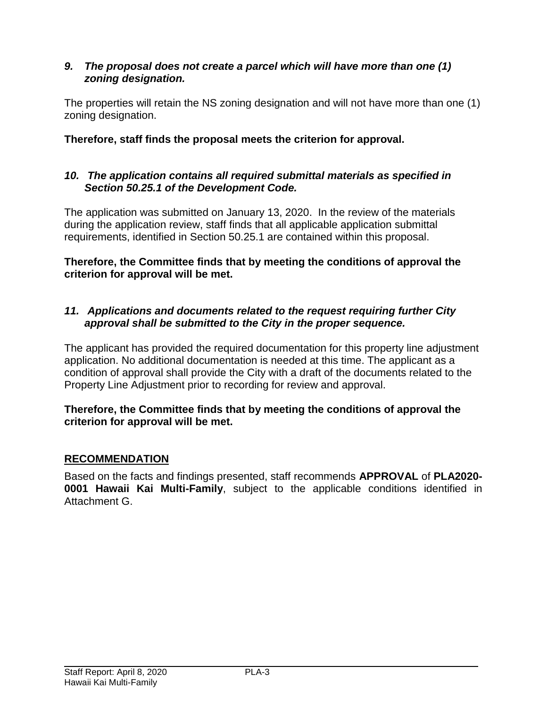## *9. The proposal does not create a parcel which will have more than one (1) zoning designation.*

The properties will retain the NS zoning designation and will not have more than one (1) zoning designation.

**Therefore, staff finds the proposal meets the criterion for approval.**

## *10. The application contains all required submittal materials as specified in Section 50.25.1 of the Development Code.*

The application was submitted on January 13, 2020. In the review of the materials during the application review, staff finds that all applicable application submittal requirements, identified in Section 50.25.1 are contained within this proposal.

**Therefore, the Committee finds that by meeting the conditions of approval the criterion for approval will be met.**

## *11. Applications and documents related to the request requiring further City approval shall be submitted to the City in the proper sequence.*

The applicant has provided the required documentation for this property line adjustment application. No additional documentation is needed at this time. The applicant as a condition of approval shall provide the City with a draft of the documents related to the Property Line Adjustment prior to recording for review and approval.

## **Therefore, the Committee finds that by meeting the conditions of approval the criterion for approval will be met.**

## **RECOMMENDATION**

Based on the facts and findings presented, staff recommends **APPROVAL** of **PLA2020- 0001 Hawaii Kai Multi-Family**, subject to the applicable conditions identified in Attachment G.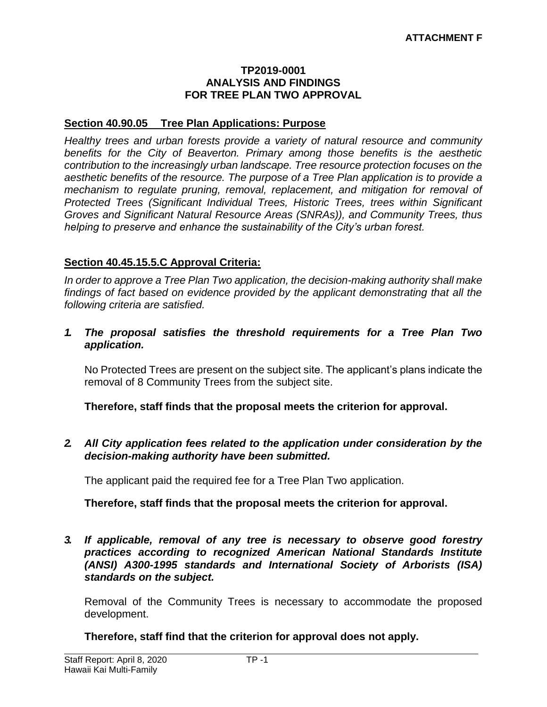#### **TP2019-0001 ANALYSIS AND FINDINGS FOR TREE PLAN TWO APPROVAL**

#### **Section 40.90.05 Tree Plan Applications: Purpose**

*Healthy trees and urban forests provide a variety of natural resource and community benefits for the City of Beaverton. Primary among those benefits is the aesthetic contribution to the increasingly urban landscape. Tree resource protection focuses on the aesthetic benefits of the resource. The purpose of a Tree Plan application is to provide a mechanism to regulate pruning, removal, replacement, and mitigation for removal of Protected Trees (Significant Individual Trees, Historic Trees, trees within Significant Groves and Significant Natural Resource Areas (SNRAs)), and Community Trees, thus helping to preserve and enhance the sustainability of the City's urban forest.*

#### **Section 40.45.15.5.C Approval Criteria:**

*In order to approve a Tree Plan Two application, the decision-making authority shall make findings of fact based on evidence provided by the applicant demonstrating that all the following criteria are satisfied.*

*1. The proposal satisfies the threshold requirements for a Tree Plan Two application.*

No Protected Trees are present on the subject site. The applicant's plans indicate the removal of 8 Community Trees from the subject site.

**Therefore, staff finds that the proposal meets the criterion for approval.**

*2. All City application fees related to the application under consideration by the decision-making authority have been submitted.*

The applicant paid the required fee for a Tree Plan Two application.

**Therefore, staff finds that the proposal meets the criterion for approval.**

*3. If applicable, removal of any tree is necessary to observe good forestry practices according to recognized American National Standards Institute (ANSI) A300-1995 standards and International Society of Arborists (ISA) standards on the subject.*

Removal of the Community Trees is necessary to accommodate the proposed development.

**Therefore, staff find that the criterion for approval does not apply.**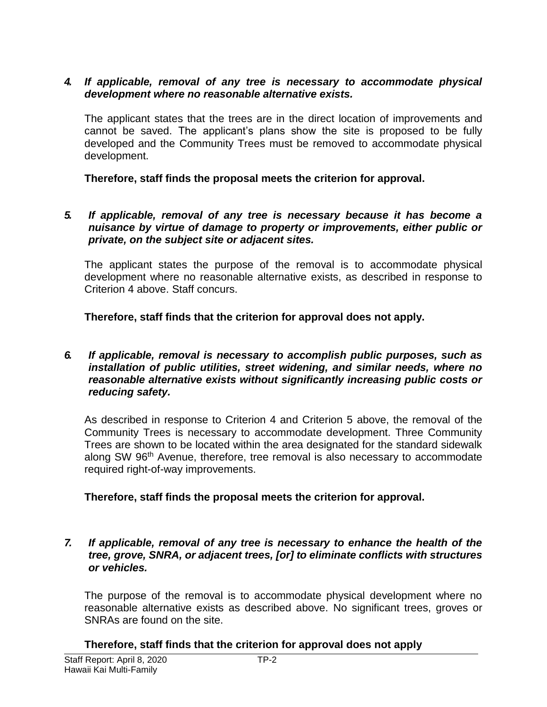#### *4. If applicable, removal of any tree is necessary to accommodate physical development where no reasonable alternative exists.*

The applicant states that the trees are in the direct location of improvements and cannot be saved. The applicant's plans show the site is proposed to be fully developed and the Community Trees must be removed to accommodate physical development.

**Therefore, staff finds the proposal meets the criterion for approval.**

#### *5. If applicable, removal of any tree is necessary because it has become a nuisance by virtue of damage to property or improvements, either public or private, on the subject site or adjacent sites.*

The applicant states the purpose of the removal is to accommodate physical development where no reasonable alternative exists, as described in response to Criterion 4 above. Staff concurs.

**Therefore, staff finds that the criterion for approval does not apply.**

#### *6. If applicable, removal is necessary to accomplish public purposes, such as installation of public utilities, street widening, and similar needs, where no reasonable alternative exists without significantly increasing public costs or reducing safety.*

As described in response to Criterion 4 and Criterion 5 above, the removal of the Community Trees is necessary to accommodate development. Three Community Trees are shown to be located within the area designated for the standard sidewalk along SW 96<sup>th</sup> Avenue, therefore, tree removal is also necessary to accommodate required right-of-way improvements.

#### **Therefore, staff finds the proposal meets the criterion for approval.**

#### *7. If applicable, removal of any tree is necessary to enhance the health of the tree, grove, SNRA, or adjacent trees, [or] to eliminate conflicts with structures or vehicles.*

The purpose of the removal is to accommodate physical development where no reasonable alternative exists as described above. No significant trees, groves or SNRAs are found on the site.

#### **Therefore, staff finds that the criterion for approval does not apply**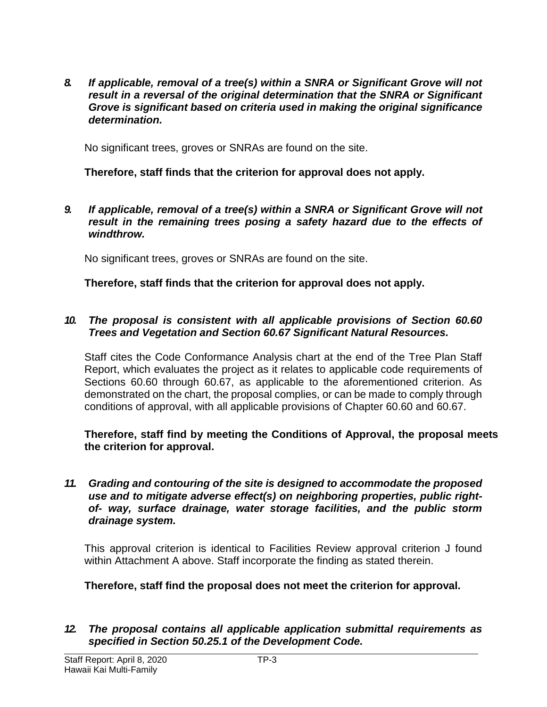*8. If applicable, removal of a tree(s) within a SNRA or Significant Grove will not result in a reversal of the original determination that the SNRA or Significant Grove is significant based on criteria used in making the original significance determination.*

No significant trees, groves or SNRAs are found on the site.

**Therefore, staff finds that the criterion for approval does not apply.**

*9. If applicable, removal of a tree(s) within a SNRA or Significant Grove will not result in the remaining trees posing a safety hazard due to the effects of windthrow.*

No significant trees, groves or SNRAs are found on the site.

**Therefore, staff finds that the criterion for approval does not apply.**

#### *10. The proposal is consistent with all applicable provisions of Section 60.60 Trees and Vegetation and Section 60.67 Significant Natural Resources.*

Staff cites the Code Conformance Analysis chart at the end of the Tree Plan Staff Report, which evaluates the project as it relates to applicable code requirements of Sections 60.60 through 60.67, as applicable to the aforementioned criterion. As demonstrated on the chart, the proposal complies, or can be made to comply through conditions of approval, with all applicable provisions of Chapter 60.60 and 60.67.

**Therefore, staff find by meeting the Conditions of Approval, the proposal meets the criterion for approval.**

*11. Grading and contouring of the site is designed to accommodate the proposed use and to mitigate adverse effect(s) on neighboring properties, public rightof- way, surface drainage, water storage facilities, and the public storm drainage system.*

This approval criterion is identical to Facilities Review approval criterion J found within Attachment A above. Staff incorporate the finding as stated therein.

**Therefore, staff find the proposal does not meet the criterion for approval.**

*12. The proposal contains all applicable application submittal requirements as specified in Section 50.25.1 of the Development Code.*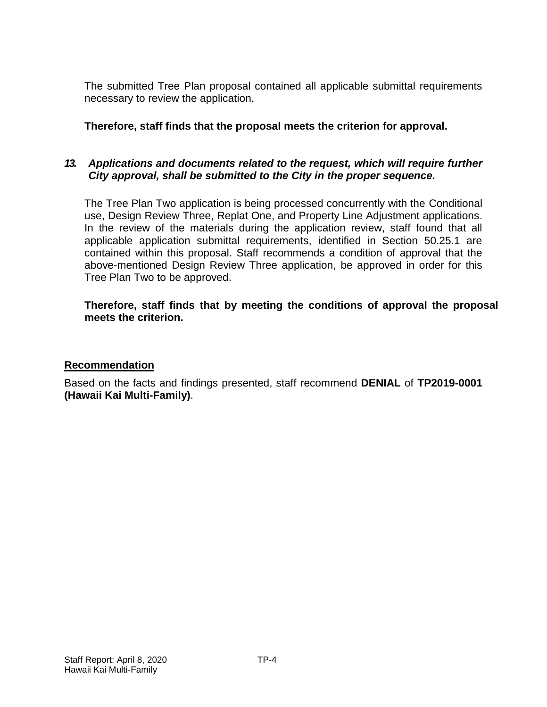The submitted Tree Plan proposal contained all applicable submittal requirements necessary to review the application.

## **Therefore, staff finds that the proposal meets the criterion for approval.**

## *13. Applications and documents related to the request, which will require further City approval, shall be submitted to the City in the proper sequence.*

The Tree Plan Two application is being processed concurrently with the Conditional use, Design Review Three, Replat One, and Property Line Adjustment applications. In the review of the materials during the application review, staff found that all applicable application submittal requirements, identified in Section 50.25.1 are contained within this proposal. Staff recommends a condition of approval that the above-mentioned Design Review Three application, be approved in order for this Tree Plan Two to be approved.

#### **Therefore, staff finds that by meeting the conditions of approval the proposal meets the criterion.**

#### **Recommendation**

Based on the facts and findings presented, staff recommend **DENIAL** of **TP2019-0001 (Hawaii Kai Multi-Family)**.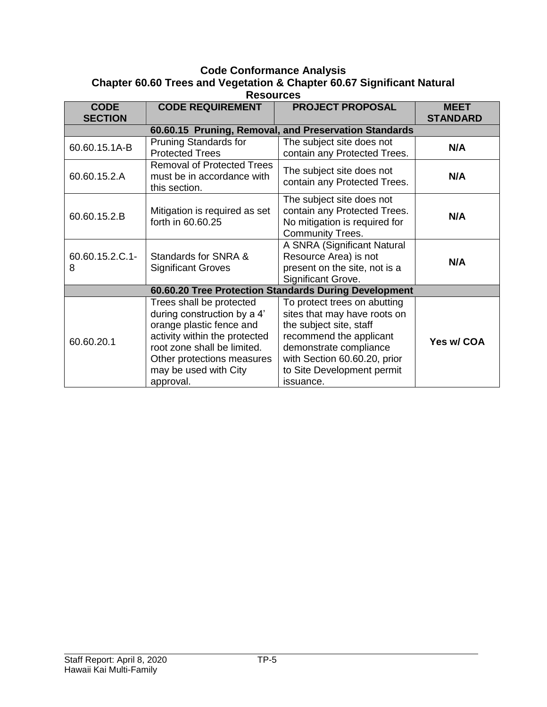#### **Code Conformance Analysis Chapter 60.60 Trees and Vegetation & Chapter 60.67 Significant Natural**

| <b>Resources</b>                                      |                                                                                                                                                                                                                         |                                                                                                                                                                                                                         |                                |  |
|-------------------------------------------------------|-------------------------------------------------------------------------------------------------------------------------------------------------------------------------------------------------------------------------|-------------------------------------------------------------------------------------------------------------------------------------------------------------------------------------------------------------------------|--------------------------------|--|
| <b>CODE</b><br><b>SECTION</b>                         | <b>CODE REQUIREMENT</b>                                                                                                                                                                                                 | <b>PROJECT PROPOSAL</b>                                                                                                                                                                                                 | <b>MEET</b><br><b>STANDARD</b> |  |
| 60.60.15 Pruning, Removal, and Preservation Standards |                                                                                                                                                                                                                         |                                                                                                                                                                                                                         |                                |  |
| 60.60.15.1A-B                                         | <b>Pruning Standards for</b><br><b>Protected Trees</b>                                                                                                                                                                  | The subject site does not<br>contain any Protected Trees.                                                                                                                                                               | N/A                            |  |
| 60.60.15.2.A                                          | <b>Removal of Protected Trees</b><br>must be in accordance with<br>this section.                                                                                                                                        | The subject site does not<br>contain any Protected Trees.                                                                                                                                                               | N/A                            |  |
| 60.60.15.2.B                                          | Mitigation is required as set<br>forth in 60.60.25                                                                                                                                                                      | The subject site does not<br>contain any Protected Trees.<br>No mitigation is required for<br><b>Community Trees.</b>                                                                                                   | N/A                            |  |
| 60.60.15.2.C.1-<br>8                                  | Standards for SNRA &<br><b>Significant Groves</b>                                                                                                                                                                       | A SNRA (Significant Natural<br>Resource Area) is not<br>present on the site, not is a<br>Significant Grove.                                                                                                             | N/A                            |  |
| 60.60.20 Tree Protection Standards During Development |                                                                                                                                                                                                                         |                                                                                                                                                                                                                         |                                |  |
| 60.60.20.1                                            | Trees shall be protected<br>during construction by a 4'<br>orange plastic fence and<br>activity within the protected<br>root zone shall be limited.<br>Other protections measures<br>may be used with City<br>approval. | To protect trees on abutting<br>sites that may have roots on<br>the subject site, staff<br>recommend the applicant<br>demonstrate compliance<br>with Section 60.60.20, prior<br>to Site Development permit<br>issuance. | Yes w/ COA                     |  |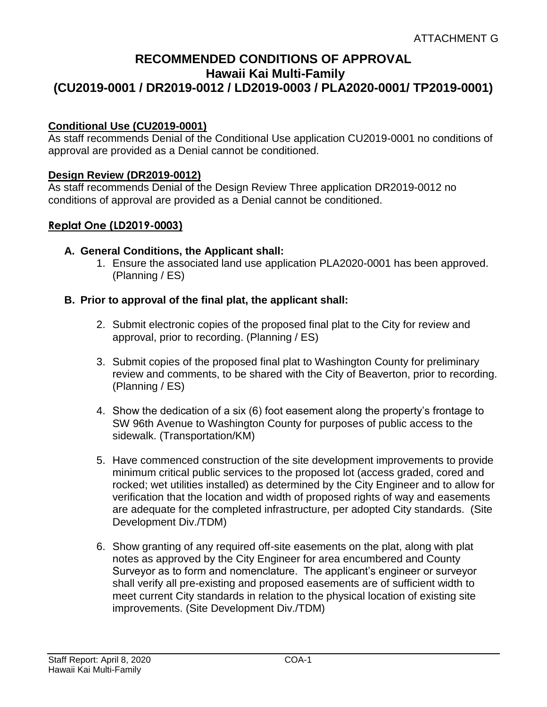## **RECOMMENDED CONDITIONS OF APPROVAL Hawaii Kai Multi-Family (CU2019-0001 / DR2019-0012 / LD2019-0003 / PLA2020-0001/ TP2019-0001)**

#### **Conditional Use (CU2019-0001)**

As staff recommends Denial of the Conditional Use application CU2019-0001 no conditions of approval are provided as a Denial cannot be conditioned.

#### **Design Review (DR2019-0012)**

As staff recommends Denial of the Design Review Three application DR2019-0012 no conditions of approval are provided as a Denial cannot be conditioned.

#### **Replat One (LD2019-0003)**

- **A. General Conditions, the Applicant shall:**
	- 1. Ensure the associated land use application PLA2020-0001 has been approved. (Planning / ES)

#### **B. Prior to approval of the final plat, the applicant shall:**

- 2. Submit electronic copies of the proposed final plat to the City for review and approval, prior to recording. (Planning / ES)
- 3. Submit copies of the proposed final plat to Washington County for preliminary review and comments, to be shared with the City of Beaverton, prior to recording. (Planning / ES)
- 4. Show the dedication of a six (6) foot easement along the property's frontage to SW 96th Avenue to Washington County for purposes of public access to the sidewalk. (Transportation/KM)
- 5. Have commenced construction of the site development improvements to provide minimum critical public services to the proposed lot (access graded, cored and rocked; wet utilities installed) as determined by the City Engineer and to allow for verification that the location and width of proposed rights of way and easements are adequate for the completed infrastructure, per adopted City standards. (Site Development Div./TDM)
- 6. Show granting of any required off-site easements on the plat, along with plat notes as approved by the City Engineer for area encumbered and County Surveyor as to form and nomenclature. The applicant's engineer or surveyor shall verify all pre-existing and proposed easements are of sufficient width to meet current City standards in relation to the physical location of existing site improvements. (Site Development Div./TDM)